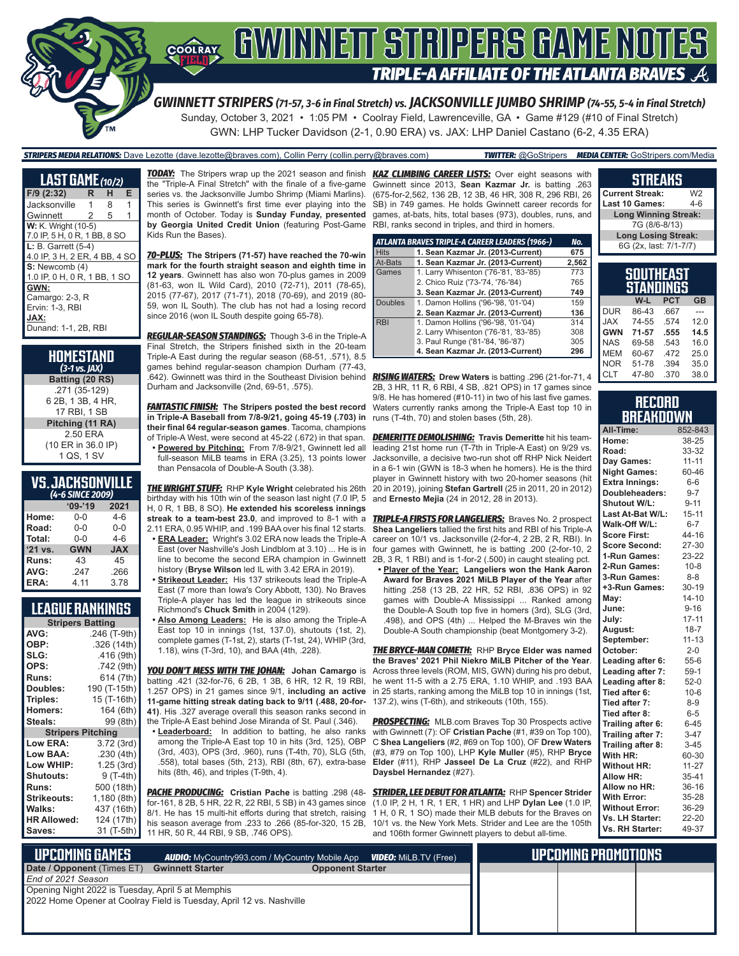

*GWINNETT STRIPERS (71-57, 3-6 in Final Stretch) vs. JACKSONVILLE JUMBO SHRIMP (74-55, 5-4 in Final Stretch)* Sunday, October 3, 2021 • 1:05 PM • Coolray Field, Lawrenceville, GA • Game #129 (#10 of Final Stretch) GWN: LHP Tucker Davidson (2-1, 0.90 ERA) vs. JAX: LHP Daniel Castano (6-2, 4.35 ERA)

*STRIPERS MEDIA RELATIONS:* Dave Lezotte (dave.lezotte@braves.com), Collin Perry (collin.perry@braves.com) *TWITTER:* @GoStripers *MEDIA CENTER:* GoStripers.com/Media

| <b>LAST GAME</b> (10/2)       |   |   |   |  |  |
|-------------------------------|---|---|---|--|--|
| F/9 (2:32)                    | R | н | Е |  |  |
| Jacksonville                  | 1 | 8 | 1 |  |  |
| Gwinnett                      | 2 | 5 | 1 |  |  |
| <b>W:</b> K. Wright (10-5)    |   |   |   |  |  |
| 7.0 IP, 5 H, 0 R, 1 BB, 8 SO  |   |   |   |  |  |
| $L: B.$ Garrett $(5-4)$       |   |   |   |  |  |
| 4.0 IP, 3 H, 2 ER, 4 BB, 4 SO |   |   |   |  |  |
| S: Newcomb (4)                |   |   |   |  |  |
| 1.0 IP, 0 H, 0 R, 1 BB, 1 SO  |   |   |   |  |  |
| GWN:                          |   |   |   |  |  |
| Camargo: 2-3, R               |   |   |   |  |  |
| Ervin: 1-3, RBI               |   |   |   |  |  |
| JAX:                          |   |   |   |  |  |
| Dunand: 1-1, 2B, RBI          |   |   |   |  |  |

| HOMESTAND<br>$(3-1)$ vs. JAX)                      |
|----------------------------------------------------|
| Batting (20 RS)                                    |
| .271 (35-129)<br>6 2B, 1 3B, 4 HR,<br>17 RBI. 1 SB |
| Pitching (11 RA)                                   |
| 2.50 ERA<br>(10 ER in 36.0 IP)<br>1 QS, 1 SV       |

### **VS. JACKSONVILLE**

| (4-6 SINCE 2009) |            |            |  |  |
|------------------|------------|------------|--|--|
|                  | $09 - 19$  | 2021       |  |  |
| Home:            | 0-0        | $4-6$      |  |  |
| Road:            | $0 - 0$    | $0 - 0$    |  |  |
| Total:           | $0 - 0$    | $4-6$      |  |  |
| '21 vs.          | <b>GWN</b> | <b>JAX</b> |  |  |
| Runs:            | 43         | 45         |  |  |
| AVG:             | .247       | .266       |  |  |
| ERA:             | 4.11       | 3.78       |  |  |

### **LEAGUE RANKINGS**

| <b>Stripers Batting</b>  |              |  |  |  |
|--------------------------|--------------|--|--|--|
| AVG:                     | .246 (T-9th) |  |  |  |
| OBP:                     | .326 (14th)  |  |  |  |
| SLG:                     | .416 (9th)   |  |  |  |
| OPS:                     | .742 (9th)   |  |  |  |
| <b>Runs:</b>             | 614 (7th)    |  |  |  |
| Doubles:                 | 190 (T-15th) |  |  |  |
| Triples:                 | 15 (T-16th)  |  |  |  |
| <b>Homers:</b>           | 164 (6th)    |  |  |  |
| Steals:                  | 99 (8th)     |  |  |  |
| <b>Stripers Pitching</b> |              |  |  |  |
| <b>Low ERA:</b>          | 3.72 (3rd)   |  |  |  |
| Low BAA:                 | .230(4th)    |  |  |  |
| Low WHIP:                | 1.25 (3rd)   |  |  |  |
| <b>Shutouts:</b>         | 9 (T-4th)    |  |  |  |
| <b>Runs:</b>             | 500 (18th)   |  |  |  |
| Strikeouts:              | 1,180 (8th)  |  |  |  |
| Walks:                   | 437 (16th)   |  |  |  |
| <b>HR Allowed:</b>       | 124 (17th)   |  |  |  |
| Saves:                   | 31 (T-5th)   |  |  |  |

*TODAY:* The Stripers wrap up the 2021 season and finish *KAZ CLIMBING CAREER LISTS:* Over eight seasons with the "Triple-A Final Stretch" with the finale of a five-game series vs. the Jacksonville Jumbo Shrimp (Miami Marlins). This series is Gwinnett's first time ever playing into the month of October. Today is **Sunday Funday, presented by Georgia United Credit Union** (featuring Post-Game Kids Run the Bases).

*70-PLUS:* **The Stripers (71-57) have reached the 70-win mark for the fourth straight season and eighth time in 12 years**. Gwinnett has also won 70-plus games in 2009 (81-63, won IL Wild Card), 2010 (72-71), 2011 (78-65), 2015 (77-67), 2017 (71-71), 2018 (70-69), and 2019 (80- 59, won IL South). The club has not had a losing record since 2016 (won IL South despite going 65-78).

*REGULAR-SEASON STANDINGS:* Though 3-6 in the Triple-A Final Stretch, the Stripers finished sixth in the 20-team Triple-A East during the regular season (68-51, .571), 8.5 games behind regular-season champion Durham (77-43, .642). Gwinnett was third in the Southeast Division behind Durham and Jacksonville (2nd, 69-51, .575).

*FANTASTIC FINISH:* **The Stripers posted the best record in Triple-A Baseball from 7/8-9/21, going 45-19 (.703) in their final 64 regular-season games**. Tacoma, champions of Triple-A West, were second at 45-22 (.672) in that span.

**• Powered by Pitching:** From 7/8-9/21, Gwinnett led all full-season MiLB teams in ERA (3.25), 13 points lower than Pensacola of Double-A South (3.38).

birthday with his 10th win of the season last night (7.0 IP, 5 H, 0 R, 1 BB, 8 SO). **He extended his scoreless innings streak to a team-best 23.0**, and improved to 8-1 with a 2.11 ERA, 0.95 WHIP, and .199 BAA over his final 12 starts.

- **• ERA Leader:** Wright's 3.02 ERA now leads the Triple-A  $\overline{\text{Fast (over Nashville's Josh I indblom at 3.10)}}$  . He is in line to become the second ERA champion in Gwinnett history (**Bryse Wilson** led IL with 3.42 ERA in 2019).
- **• Strikeout Leader:** His 137 strikeouts lead the Triple-A East (7 more than Iowa's Cory Abbott, 130). No Braves Triple-A player has led the league in strikeouts since Richmond's **Chuck Smith** in 2004 (129).
- **• Also Among Leaders:** He is also among the Triple-A East top 10 in innings (1st, 137.0), shutouts (1st, 2), complete games (T-1st, 2), starts (T-1st, 24), WHIP (3rd, 1.18), wins (T-3rd, 10), and BAA (4th, .228).

*YOU DON'T MESS WITH THE JOHAN:* **Johan Camargo** is batting .421 (32-for-76, 6 2B, 1 3B, 6 HR, 12 R, 19 RBI, 1.257 OPS) in 21 games since 9/1, **including an active 11-game hitting streak dating back to 9/11 (.488, 20-for-41)**. His .327 average overall this season ranks second in the Triple-A East behind Jose Miranda of St. Paul (.346).

**• Leaderboard:** In addition to batting, he also ranks among the Triple-A East top 10 in hits (3rd, 125), OBP (3rd, .403), OPS (3rd, .960), runs (T-4th, 70), SLG (5th, .558), total bases (5th, 213), RBI (8th, 67), extra-base hits (8th, 46), and triples (T-9th, 4).

*PACHE PRODUCING:* **Cristian Pache** is batting .298 (48 for-161, 8 2B, 5 HR, 22 R, 22 RBI, 5 SB) in 43 games since 8/1. He has 15 multi-hit efforts during that stretch, raising his season average from .233 to .266 (85-for-320, 15 2B, 11 HR, 50 R, 44 RBI, 9 SB, .746 OPS).

Gwinnett since 2013, **Sean Kazmar Jr.** is batting .263 (675-for-2,562, 136 2B, 12 3B, 46 HR, 308 R, 296 RBI, 26 SB) in 749 games. He holds Gwinnett career records for games, at-bats, hits, total bases (973), doubles, runs, and RBI, ranks second in triples, and third in homers.

|                | ATLANTA BRAVES TRIPLE-A CAREER LEADERS (1966-) | No.   |
|----------------|------------------------------------------------|-------|
| <b>Hits</b>    | 1. Sean Kazmar Jr. (2013-Current)              | 675   |
| At-Bats        | 1. Sean Kazmar Jr. (2013-Current)              | 2,562 |
| Games          | 1. Larry Whisenton ('76-'81, '83-'85)          | 773   |
|                | 2. Chico Ruiz ('73-'74, '76-'84)               | 765   |
|                | 3. Sean Kazmar Jr. (2013-Current)              | 749   |
| <b>Doubles</b> | 1. Damon Hollins ('96-'98, '01-'04)            | 159   |
|                | 2. Sean Kazmar Jr. (2013-Current)              | 136   |
| <b>RBI</b>     | 1. Damon Hollins ('96-'98, '01-'04)            | 314   |
|                | 2. Larry Whisenton ('76-'81, '83-'85)          | 308   |
|                | 3. Paul Runge ('81-'84, '86-'87)               | 305   |
|                | 4. Sean Kazmar Jr. (2013-Current)              | 296   |

*RISING WATERS:* **Drew Waters** is batting .296 (21-for-71, 4 2B, 3 HR, 11 R, 6 RBI, 4 SB, .821 OPS) in 17 games since 9/8. He has homered (#10-11) in two of his last five games. Waters currently ranks among the Triple-A East top 10 in runs (T-4th, 70) and stolen bases (5th, 28).

*THE WRIGHT STUFF:* RHP **Kyle Wright** celebrated his 26th 20 in 2019), joining **Stefan Gartrell** (25 in 2011, 20 in 2012) *DEMERITTE DEMOLISHING:* **Travis Demeritte** hit his teamleading 21st home run (T-7th in Triple-A East) on 9/29 vs. Jacksonville, a decisive two-run shot off RHP Nick Neidert in a 6-1 win (GWN is 18-3 when he homers). He is the third player in Gwinnett history with two 20-homer seasons (hit and **Ernesto Mejia** (24 in 2012, 28 in 2013).

> *TRIPLE-A FIRSTS FOR LANGELIERS:* Braves No. 2 prospect **Shea Langeliers** tallied the first hits and RBI of his Triple-A career on 10/1 vs. Jacksonville (2-for-4, 2 2B, 2 R, RBI). In four games with Gwinnett, he is batting .200 (2-for-10, 2 2B, 3 R, 1 RBI) and is 1-for-2 (.500) in caught stealing pct.

**• Player of the Year: Langeliers won the Hank Aaron Award for Braves 2021 MiLB Player of the Year** after hitting .258 (13 2B, 22 HR, 52 RBI, .836 OPS) in 92 games with Double-A Mississippi ... Ranked among the Double-A South top five in homers (3rd), SLG (3rd, .498), and OPS (4th) ... Helped the M-Braves win the Double-A South championship (beat Montgomery 3-2).

*THE BRYCE-MAN COMETH:* RHP **Bryce Elder was named the Braves' 2021 Phil Niekro MiLB Pitcher of the Year**. Across three levels (ROM, MIS, GWN) during his pro debut, he went 11-5 with a 2.75 ERA, 1.10 WHIP, and .193 BAA in 25 starts, ranking among the MiLB top 10 in innings (1st, 137.2), wins (T-6th), and strikeouts (10th, 155).

**PROSPECTING:** MLB.com Braves Top 30 Prospects active with Gwinnett (7): OF **Cristian Pache** (#1, #39 on Top 100), C **Shea Langeliers** (#2, #69 on Top 100), OF **Drew Waters** (#3, #79 on Top 100), LHP **Kyle Muller** (#5), RHP **Bryce Elder** (#11), RHP **Jasseel De La Cruz** (#22), and RHP **Daysbel Hernandez** (#27).

*STRIDER, LEE DEBUT FOR ATLANTA:* RHP **Spencer Strider** (1.0 IP, 2 H, 1 R, 1 ER, 1 HR) and LHP **Dylan Lee** (1.0 IP, 1 H, 0 R, 1 SO) made their MLB debuts for the Braves on 10/1 vs. the New York Mets. Strider and Lee are the 105th and 106th former Gwinnett players to debut all-time.

#### **SOUTHEAST Current Streak:** W2 **Last 10 Games: Long Winning Streak:** 7G (8/6-8/13) **Long Losing Streak:** 6G (2x, last: 7/1-7/7)

**STREAKS**

| STANDINGS  |       |            |           |  |  |
|------------|-------|------------|-----------|--|--|
|            | W-L   | <b>PCT</b> | <b>GB</b> |  |  |
| <b>DUR</b> | 86-43 | .667       |           |  |  |
| <b>JAX</b> | 74-55 | .574       | 12.0      |  |  |
| <b>GWN</b> | 71-57 | .555       | 14.5      |  |  |
| <b>NAS</b> | 69-58 | 543        | 16.0      |  |  |
| <b>MEM</b> | 60-67 | 472        | 25.0      |  |  |
| <b>NOR</b> | 51-78 | .394       | 35.0      |  |  |
| <b>CLT</b> | 47-80 | .370       | 38.0      |  |  |

| <b>RECORD</b>    |  |
|------------------|--|
| <b>BREAKDOWN</b> |  |

| All-Time:             | 852-843   |
|-----------------------|-----------|
| Home:                 | 38-25     |
| Road:                 | 33-32     |
| Day Games:            | $11 - 11$ |
| <b>Night Games:</b>   | 60-46     |
| <b>Extra Innings:</b> | $6-6$     |
| Doubleheaders:        | $9 - 7$   |
| <b>Shutout W/L:</b>   | $9 - 11$  |
| Last At-Bat W/L:      | 15-11     |
| Walk-Off W/L:         | $6 - 7$   |
| <b>Score First:</b>   | 44-16     |
| <b>Score Second:</b>  | 27-30     |
| 1-Run Games:          | 23-22     |
| 2-Run Games:          | $10 - 8$  |
| 3-Run Games:          | $8 - 8$   |
| +3-Run Games:         | 30-19     |
| May:                  | $14 - 10$ |
| June:                 | $9 - 16$  |
| July:                 | $17 - 11$ |
| August:               | $18 - 7$  |
| September:            | $11 - 13$ |
| October:              | $2 - 0$   |
| Leading after 6:      | $55-6$    |
| Leading after 7:      | $59-1$    |
| Leading after 8:      | $52-0$    |
| Tied after 6:         | $10-6$    |
| Tied after 7:         | $8 - 9$   |
| Tied after 8:         | $6 - 5$   |
| Trailing after 6:     | $6 - 45$  |
| Trailing after 7:     | $3 - 47$  |
| Trailing after 8:     | $3 - 45$  |
| With HR:              | 60-30     |
| <b>Without HR:</b>    | $11 - 27$ |
| <b>Allow HR:</b>      | 35-41     |
| Allow no HR:          | $36 - 16$ |
| <b>With Error:</b>    | 35-28     |
| <b>Without Error:</b> | 36-29     |
| Vs. LH Starter:       | 22-20     |
| Vs. RH Starter:       | 49-37     |

| <b>UPCOMING GAMES</b>                                                |                         | <b>AUDIO:</b> MyCountry993.com / MyCountry Mobile App <b>VIDEO:</b> MiLB.TV (Free) |  |
|----------------------------------------------------------------------|-------------------------|------------------------------------------------------------------------------------|--|
| Date / Opponent (Times ET)                                           | <b>Gwinnett Starter</b> | <b>Opponent Starter</b>                                                            |  |
| End of 2021 Season                                                   |                         |                                                                                    |  |
| Opening Night 2022 is Tuesday, April 5 at Memphis                    |                         |                                                                                    |  |
| 2022 Home Opener at Coolray Field is Tuesday, April 12 vs. Nashville |                         |                                                                                    |  |
|                                                                      |                         |                                                                                    |  |
|                                                                      |                         |                                                                                    |  |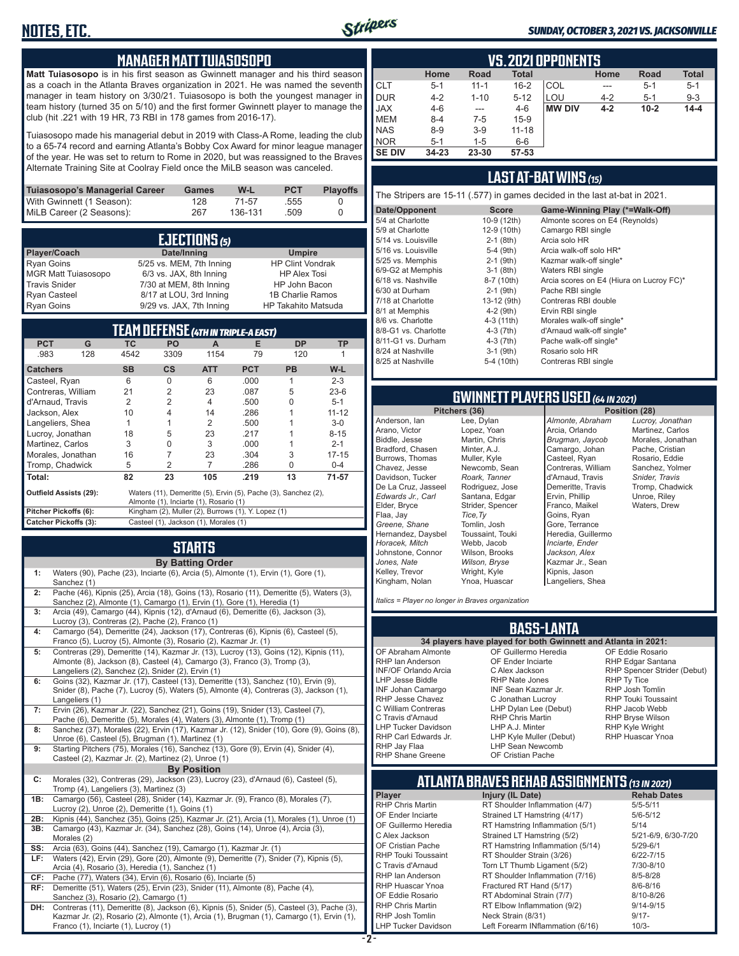### **MANAGER MATT TUIASOSOPO**

**Matt Tuiasosopo** is in his first season as Gwinnett manager and his third season as a coach in the Atlanta Braves organization in 2021. He was named the seventh manager in team history on 3/30/21. Tuiasosopo is both the youngest manager in team history (turned 35 on 5/10) and the first former Gwinnett player to manage the club (hit .221 with 19 HR, 73 RBI in 178 games from 2016-17).

Tuiasosopo made his managerial debut in 2019 with Class-A Rome, leading the club to a 65-74 record and earning Atlanta's Bobby Cox Award for minor league manager of the year. He was set to return to Rome in 2020, but was reassigned to the Braves Alternate Training Site at Coolray Field once the MiLB season was canceled.

| Tuiasosopo's Managerial Career | <b>Games</b> | W-L     | <b>PCT</b> | <b>Plavoffs</b> |
|--------------------------------|--------------|---------|------------|-----------------|
| With Gwinnett (1 Season):      | 128          | 71-57   | .555       |                 |
| MiLB Career (2 Seasons):       | 267          | 136-131 | .509       |                 |

| EJECTIONS (5)        |                          |                            |  |  |
|----------------------|--------------------------|----------------------------|--|--|
| Player/Coach         | Date/Inning              | <b>Umpire</b>              |  |  |
| <b>Ryan Goins</b>    | 5/25 vs. MEM, 7th Inning | <b>HP Clint Vondrak</b>    |  |  |
| MGR Matt Tuiasosopo  | 6/3 vs. JAX, 8th Inning  | <b>HP Alex Tosi</b>        |  |  |
| <b>Travis Snider</b> | 7/30 at MEM, 8th Inning  | HP John Bacon              |  |  |
| <b>Ryan Casteel</b>  | 8/17 at LOU, 3rd Inning  | 1B Charlie Ramos           |  |  |
| <b>Ryan Goins</b>    | 9/29 vs. JAX, 7th Inning | <b>HP Takahito Matsuda</b> |  |  |

| TEAM DEFENSE (4th in triple-a east)                                                                                                       |             |                                                    |                |            |           |           |
|-------------------------------------------------------------------------------------------------------------------------------------------|-------------|----------------------------------------------------|----------------|------------|-----------|-----------|
| <b>PCT</b><br>G                                                                                                                           | <b>TC</b>   | <b>PO</b>                                          | A              | Е          | <b>DP</b> | <b>TP</b> |
| .983                                                                                                                                      | 128<br>4542 | 3309                                               | 1154           | 79         | 120       |           |
| <b>Catchers</b>                                                                                                                           | <b>SB</b>   | <b>CS</b>                                          | <b>ATT</b>     | <b>PCT</b> | <b>PB</b> | $W-L$     |
| Casteel, Ryan                                                                                                                             | 6           | <sup>0</sup>                                       | 6              | .000       | 1         | $2 - 3$   |
| Contreras, William                                                                                                                        | 21          | 2                                                  | 23             | .087       | 5         | $23-6$    |
| d'Arnaud, Travis                                                                                                                          | 2           | 2                                                  | $\overline{4}$ | .500       | U         | $5 - 1$   |
| Jackson, Alex                                                                                                                             | 10          | 4                                                  | 14             | .286       |           | $11 - 12$ |
| Langeliers, Shea                                                                                                                          |             |                                                    | 2              | .500       |           | $3-0$     |
| Lucroy, Jonathan                                                                                                                          | 18          | 5                                                  | 23             | .217       |           | $8 - 15$  |
| Martinez, Carlos                                                                                                                          | 3           | O                                                  | 3              | .000       |           | $2 - 1$   |
| Morales, Jonathan                                                                                                                         | 16          | 7                                                  | 23             | .304       | 3         | $17 - 15$ |
| Tromp, Chadwick                                                                                                                           | 5           | 2                                                  | 7              | .286       | U         | $0 - 4$   |
| Total:                                                                                                                                    | 82          | 23                                                 | 105            | .219       | 13        | 71-57     |
| Waters (11), Demeritte (5), Ervin (5), Pache (3), Sanchez (2),<br><b>Outfield Assists (29):</b><br>Almonte (1), Inciarte (1), Rosario (1) |             |                                                    |                |            |           |           |
| Pitcher Pickoffs (6):                                                                                                                     |             | Kingham (2), Muller (2), Burrows (1), Y. Lopez (1) |                |            |           |           |
| <b>Catcher Pickoffs (3):</b><br>Casteel (1), Jackson (1), Morales (1)                                                                     |             |                                                    |                |            |           |           |

### **STARTS**

|     | <b>By Batting Order</b>                                                                                                                                                                                                          |
|-----|----------------------------------------------------------------------------------------------------------------------------------------------------------------------------------------------------------------------------------|
| 1:  | Waters (90), Pache (23), Inciarte (6), Arcia (5), Almonte (1), Ervin (1), Gore (1),<br>Sanchez (1)                                                                                                                               |
| 2:  | Pache (46), Kipnis (25), Arcia (18), Goins (13), Rosario (11), Demeritte (5), Waters (3),<br>Sanchez (2), Almonte (1), Camargo (1), Ervin (1), Gore (1), Heredia (1)                                                             |
| 3:  | Arcia (49), Camargo (44), Kipnis (12), d'Arnaud (6), Demeritte (6), Jackson (3),<br>Lucroy (3), Contreras (2), Pache (2), Franco (1)                                                                                             |
| 4:  | Camargo (54), Demeritte (24), Jackson (17), Contreras (6), Kipnis (6), Casteel (5),<br>Franco (5), Lucroy (5), Almonte (3), Rosario (2), Kazmar Jr. (1)                                                                          |
| 5:  | Contreras (29), Demeritte (14), Kazmar Jr. (13), Lucroy (13), Goins (12), Kipnis (11),<br>Almonte (8), Jackson (8), Casteel (4), Camargo (3), Franco (3), Tromp (3),<br>Langeliers (2), Sanchez (2), Snider (2), Ervin (1)       |
| 6:  | Goins (32), Kazmar Jr. (17), Casteel (13), Demeritte (13), Sanchez (10), Ervin (9),<br>Snider (8), Pache (7), Lucroy (5), Waters (5), Almonte (4), Contreras (3), Jackson (1),<br>Langeliers (1)                                 |
| 7:  | Ervin (26), Kazmar Jr. (22), Sanchez (21), Goins (19), Snider (13), Casteel (7),<br>Pache (6), Demeritte (5), Morales (4), Waters (3), Almonte (1), Tromp (1)                                                                    |
| 8:  | Sanchez (37), Morales (22), Ervin (17), Kazmar Jr. (12), Snider (10), Gore (9), Goins (8),<br>Unroe (6), Casteel (5), Brugman (1), Martinez (1)                                                                                  |
| 9:  | Starting Pitchers (75), Morales (16), Sanchez (13), Gore (9), Ervin (4), Snider (4),<br>Casteel (2), Kazmar Jr. (2), Martinez (2), Unroe (1)                                                                                     |
|     | <b>By Position</b>                                                                                                                                                                                                               |
| C:  | Morales (32), Contreras (29), Jackson (23), Lucroy (23), d'Arnaud (6), Casteel (5),<br>Tromp (4), Langeliers (3), Martinez (3)                                                                                                   |
| 1B: | Camargo (56), Casteel (28), Snider (14), Kazmar Jr. (9), Franco (8), Morales (7),<br>Lucroy (2), Unroe (2), Demeritte (1), Goins (1)                                                                                             |
| 2B: | Kipnis (44), Sanchez (35), Goins (25), Kazmar Jr. (21), Arcia (1), Morales (1), Unroe (1)                                                                                                                                        |
| 3B: | Camargo (43), Kazmar Jr. (34), Sanchez (28), Goins (14), Unroe (4), Arcia (3),<br>Morales (2)                                                                                                                                    |
| SS: | Arcia (63), Goins (44), Sanchez (19), Camargo (1), Kazmar Jr. (1)                                                                                                                                                                |
| LF: | Waters (42), Ervin (29), Gore (20), Almonte (9), Demeritte (7), Snider (7), Kipnis (5),<br>Arcia (4), Rosario (3), Heredia (1), Sanchez (1)                                                                                      |
| CF: | Pache (77), Waters (34), Ervin (6), Rosario (6), Inciarte (5)                                                                                                                                                                    |
| RF: | Demeritte (51), Waters (25), Ervin (23), Snider (11), Almonte (8), Pache (4),                                                                                                                                                    |
|     | Sanchez (3), Rosario (2), Camargo (1)                                                                                                                                                                                            |
| DH: | Contreras (11), Demeritte (8), Jackson (6), Kipnis (5), Snider (5), Casteel (3), Pache (3),<br>Kazmar Jr. (2), Rosario (2), Almonte (1), Arcia (1), Brugman (1), Camargo (1), Ervin (1),<br>Franco (1), Inciarte (1), Lucroy (1) |

|  | SUNDAY, OCTOBER 3, 2021 VS. JACKSONVILLE |  |  |  |
|--|------------------------------------------|--|--|--|
|--|------------------------------------------|--|--|--|

|               |           |          |              | <b>VS. 2021 OPPONENTS</b> |         |             |              |
|---------------|-----------|----------|--------------|---------------------------|---------|-------------|--------------|
|               | Home      | Road     | <b>Total</b> |                           | Home    | <b>Road</b> | <b>Total</b> |
| ICLT          | $5 - 1$   | $11 - 1$ | $16 - 2$     | COL                       | ---     | $5 - 1$     | $5 - 1$      |
| <b>DUR</b>    | $4 - 2$   | $1 - 10$ | $5 - 12$     | LOU                       | $4 - 2$ | $5 - 1$     | $9 - 3$      |
| <b>JAX</b>    | $4 - 6$   | ---      | $4-6$        | <b>MW DIV</b>             | $4 - 2$ | $10 - 2$    | $14 - 4$     |
| <b>MEM</b>    | $8 - 4$   | 7-5      | $15-9$       |                           |         |             |              |
| <b>NAS</b>    | $8 - 9$   | $3-9$    | $11 - 18$    |                           |         |             |              |
| <b>INOR</b>   | $5 - 1$   | $1 - 5$  | $6-6$        |                           |         |             |              |
| <b>SE DIV</b> | $34 - 23$ | 23-30    | 57-53        |                           |         |             |              |

### **LAST AT-BAT WINS** *(15)*

The Stripers are 15-11 (.577) in games decided in the last at-bat in 2021.

| Date/Opponent        | <b>Score</b> | Game-Winning Play (*=Walk-Off)           |
|----------------------|--------------|------------------------------------------|
| 5/4 at Charlotte     | 10-9 (12th)  | Almonte scores on E4 (Reynolds)          |
| 5/9 at Charlotte     | 12-9 (10th)  | Camargo RBI single                       |
| 5/14 vs. Louisville  | $2-1$ (8th)  | Arcia solo HR                            |
| 5/16 vs. Louisville  | $5-4$ (9th)  | Arcia walk-off solo HR*                  |
| 5/25 vs. Memphis     | $2-1$ (9th)  | Kazmar walk-off single*                  |
| 6/9-G2 at Memphis    | $3-1$ (8th)  | Waters RBI single                        |
| 6/18 vs. Nashville   | 8-7 (10th)   | Arcia scores on E4 (Hiura on Lucroy FC)* |
| 6/30 at Durham       | $2-1$ (9th)  | Pache RBI single                         |
| 7/18 at Charlotte    | 13-12 (9th)  | Contreras RBI double                     |
| 8/1 at Memphis       | $4-2$ (9th)  | Ervin RBI single                         |
| 8/6 vs. Charlotte    | 4-3 (11th)   | Morales walk-off single*                 |
| 8/8-G1 vs. Charlotte | 4-3 (7th)    | d'Arnaud walk-off single*                |
| 8/11-G1 vs. Durham   | 4-3 (7th)    | Pache walk-off single*                   |
| 8/24 at Nashville    | $3-1$ (9th)  | Rosario solo HR                          |
| 8/25 at Nashville    | 5-4 (10th)   | Contreras RBI single                     |
|                      |              |                                          |

# **GWINNETT PLAYERS USED** *(64 IN 2021)*

Anderson, Ian Arano, Victor Biddle, Jesse Bradford, Chasen Burrows, Thomas Chavez, Jesse Davidson, Tucker De La Cruz, Jasseel *Edwards Jr., Carl* Elder, Bryce Flaa, Jay *Greene, Shane*  Hernandez, Daysbel *Horacek, Mitch* Johnstone, Connor *Jones, Nate* Kelley, Trevor Kingham, Nolan *Tice,Ty*

Stripers

Lee, Dylan Lopez, Yoan Martin, Chris Minter, A.J. Muller, Kyle Newcomb, Sean *Roark, Tanner* Rodriguez, Jose Santana, Edgar Strider, Spencer Tomlin, Josh Toussaint, Touki Webb, Jacob Wilson, Brooks *Wilson, Bryse* Wright, Kyle Ynoa, Huascar *Almonte, Abraham* Arcia, Orlando *Brugman, Jaycob* Camargo, Johan Casteel, Ryan Contreras, William d'Arnaud, Travis Demeritte, Travis Ervin, Phillip Franco, Maikel Goins, Ryan Gore, Terrance Heredia, Guillermo *Inciarte, Ender Jackson, Alex* Kazmar Jr., Sean Kipnis, Jason Langeliers, Shea

*Lucroy, Jonathan* Martinez, Carlos Morales, Jonathan Pache, Cristian Rosario, Eddie Sanchez, Yolmer *Snider, Travis* Tromp, Chadwick Unroe, Riley Waters, Drew

**Position (28)** 

*Italics = Player no longer in Braves organization*

### **BASS-LANTA**

OF Abraham Almonte RHP Ian Anderson INF/OF Orlando Arcia LHP Jesse Biddle INF Johan Camargo RHP Jesse Chavez C William Contreras C Travis d'Arnaud LHP Tucker Davidson RHP Carl Edwards Jr. RHP Jay Flaa RHP Shane Greene

**34 players have played for both Gwinnett and Atlanta in 2021:** OF Guillermo Heredia OF Ender Inciarte C Alex Jackson RHP Nate Jones INF Sean Kazmar Jr. C Jonathan Lucroy LHP Dylan Lee (Debut) RHP Chris Martin LHP A.J. Minter LHP Kyle Muller (Debut) LHP Sean Newcomb OF Cristian Pache

OF Eddie Rosario RHP Edgar Santana RHP Spencer Strider (Debut) RHP Ty Tice RHP Josh Tomlin RHP Touki Toussaint RHP Jacob Webb RHP Bryse Wilson RHP Kyle Wright RHP Huascar Ynoa

## **ATLANTA BRAVES REHAB ASSIGNMENTS** *(13 IN 2021)*

OF Ender Inciarte Strained LT Hamstring (4/17)<br>OF Guillermo Heredia RT Hamstring Inflammation ( RHP Chris Martin RT Elbow Inflammation (9/2)<br>RHP Josh Tomlin Neck Strain (8/31)

**Player Injury (IL Date)** RHP Chris Martin **RT Shoulder Inflammation (4/7)** 5/5-5/11<br>OF Ender Inciarte Strained LT Hamstring (4/17) 5/6-5/12 OF Guillermo Heredia RT Hamstring Inflammation (5/1) 5/14<br>C Alex Jackson Strained LT Hamstring (5/2) 5/21-6/9, 6/30-7/20 C Alex Jackson Strained LT Hamstring (5/2) 5/21-6/9,<br>CF Cristian Pache RT Hamstring Inflammation (5/14) 5/29-6/1 OF Cristian Pache **RT Hamstring Inflammation (5/14)** 5/29-6/1<br>RHP Touki Toussaint RT Shoulder Strain (3/26) 6/22-7/15 RHP Touki Toussaint RT Shoulder Strain (3/26) 6/22-7/15<br>C Travis d'Arnaud C Torn I T Thumh Ligament (5/2) 7/30-8/10 C Travis d'Arnaud Torn LT Thumb Ligament (5/2) 7/30-8/10<br>RHP Jan Anderson RT Shoulder Inflammation (7/16) 8/5-8/28 RHP Ian Anderson RT Shoulder Inflammation (7/16) 8/5-8/28<br>RHP Huascar Ynoa Fractured RT Hand (5/17) 8/6-8/16 RHP Huascar Ynoa Fractured RT Hand (5/17) 8/6-8/16<br>OF Eddie Rosario RT Abdominal Strain (7/7) 8/10-8/26 OF Eddie Rosario **RT Abdominal Strain (7/7)** 8/10-8/26<br>RHP Chris Martin RT Elbow Inflammation (9/2) 9/14-9/15 RHP Josh Tomlin **Neck Strain (8/31)** 9/17-<br>LHP Tucker Davidson Left Forearm INflammation (6/16) 9/17-Left Forearm INflammation (6/16) 10/3-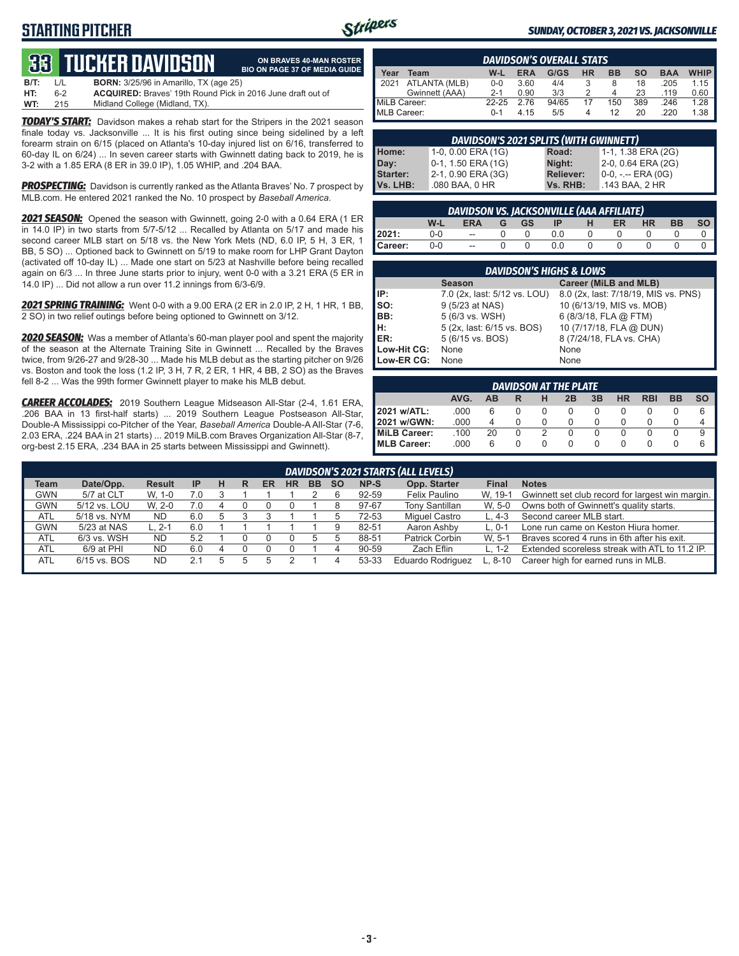## **STARTING PITCHER**



**ON BRAVES 40-MAN ROSTER**

#### *SUNDAY, OCTOBER 3, 2021 VS. JACKSONVILLE*

# **33****TUCKER DAVIDSON**

|      |              | <b>QQL IUGIILII DAVIDJUN</b>                                       | <b>BIO ON PAGE 37 OF MEDIA GUIDE</b> |
|------|--------------|--------------------------------------------------------------------|--------------------------------------|
| B/T: | $\mathbf{1}$ | <b>BORN:</b> 3/25/96 in Amarillo. TX (age 25)                      |                                      |
| HT:  | հ-2          | <b>ACQUIRED:</b> Braves' 19th Round Pick in 2016 June draft out of |                                      |
| WT:  | 215          | Midland College (Midland, TX).                                     |                                      |

*TODAY'S START:* Davidson makes a rehab start for the Stripers in the 2021 season finale today vs. Jacksonville ... It is his first outing since being sidelined by a left forearm strain on 6/15 (placed on Atlanta's 10-day injured list on 6/16, transferred to 60-day IL on 6/24) ... In seven career starts with Gwinnett dating back to 2019, he is 3-2 with a 1.85 ERA (8 ER in 39.0 IP), 1.05 WHIP, and .204 BAA.

*PROSPECTING:* Davidson is currently ranked as the Atlanta Braves' No. 7 prospect by MLB.com. He entered 2021 ranked the No. 10 prospect by *Baseball America*.

*2021 SEASON:* Opened the season with Gwinnett, going 2-0 with a 0.64 ERA (1 ER in 14.0 IP) in two starts from 5/7-5/12 ... Recalled by Atlanta on 5/17 and made his second career MLB start on 5/18 vs. the New York Mets (ND, 6.0 IP, 5 H, 3 ER, 1 BB, 5 SO) ... Optioned back to Gwinnett on 5/19 to make room for LHP Grant Dayton (activated off 10-day IL) ... Made one start on 5/23 at Nashville before being recalled again on 6/3 ... In three June starts prior to injury, went 0-0 with a 3.21 ERA (5 ER in 14.0 IP) ... Did not allow a run over 11.2 innings from 6/3-6/9.

*2021 SPRING TRAINING:* Went 0-0 with a 9.00 ERA (2 ER in 2.0 IP, 2 H, 1 HR, 1 BB, 2 SO) in two relief outings before being optioned to Gwinnett on 3/12.

*2020 SEASON:* Was a member of Atlanta's 60-man player pool and spent the majority of the season at the Alternate Training Site in Gwinnett ... Recalled by the Braves twice, from 9/26-27 and 9/28-30 ... Made his MLB debut as the starting pitcher on 9/26 vs. Boston and took the loss (1.2 IP, 3 H, 7 R, 2 ER, 1 HR, 4 BB, 2 SO) as the Braves fell 8-2 ... Was the 99th former Gwinnett player to make his MLB debut.

*CAREER ACCOLADES:* 2019 Southern League Midseason All-Star (2-4, 1.61 ERA, .206 BAA in 13 first-half starts) ... 2019 Southern League Postseason All-Star, Double-A Mississippi co-Pitcher of the Year, *Baseball America* Double-A All-Star (7-6, 2.03 ERA, .224 BAA in 21 starts) ... 2019 MiLB.com Braves Organization All-Star (8-7, org-best 2.15 ERA, .234 BAA in 25 starts between Mississippi and Gwinnett).

|              |                |         |            | <b>DAVIDSON'S OVERALL STATS</b> |           |           |           |            |             |
|--------------|----------------|---------|------------|---------------------------------|-----------|-----------|-----------|------------|-------------|
| Year         | Team           | W-L     | <b>ERA</b> | G/GS                            | <b>HR</b> | <b>BB</b> | <b>SO</b> | <b>BAA</b> | <b>WHIP</b> |
| 12021        | ATLANTA (MLB)  | $0 - 0$ | 3.60       | 4/4                             |           | 8         | 18        | .205       | 1.15        |
|              | Gwinnett (AAA) | $2 - 1$ | 0.90       | 3/3                             |           | Δ         | 23        | .119       | 0.60        |
| MiLB Career: |                | 22-25   | 2.76       | 94/65                           | 17        | 150       | 389       | .246       | 1.28        |
| MLB Career:  |                | $0 - 1$ | 4.15       | 5/5                             |           | 12        | 20        | 220        | 1.38        |

|          | DAVIDSON'S 2021 SPLITS (WITH GWINNETT) |           |                    |
|----------|----------------------------------------|-----------|--------------------|
| Home:    | 1-0, 0.00 ERA (1G)                     | Road:     | 1-1, 1.38 ERA (2G) |
| Day:     | 0-1, 1.50 ERA (1G)                     | Night:    | 2-0, 0.64 ERA (2G) |
| Starter: | 2-1, 0.90 ERA (3G)                     | Reliever: | 0-0, -.-- ERA (0G) |
| Vs. LHB: | .080 BAA, 0 HR                         | Vs. RHB:  | .143 BAA, 2 HR     |

|         |       | <b>DAVIDSON VS. JACKSONVILLE (AAA AFFILIATE)</b> |          |        |   |           |           |           |           |
|---------|-------|--------------------------------------------------|----------|--------|---|-----------|-----------|-----------|-----------|
|         | W-L   | <b>ERA</b>                                       | GGS      | $IP$ H |   | <b>ER</b> | <b>HR</b> | <b>BB</b> | <b>SO</b> |
| 2021:   | $0-0$ | $\sim$                                           | $\Omega$ | 0.0    | 0 |           |           |           |           |
| Career: | $0-0$ | $\sim$                                           |          | 0.0    |   |           |           |           |           |

|             | <b>DAVIDSON'S HIGHS &amp; LOWS</b> |                                      |
|-------------|------------------------------------|--------------------------------------|
|             | <b>Season</b>                      | Career (MiLB and MLB)                |
| IP:         | 7.0 (2x, last: 5/12 vs. LOU)       | 8.0 (2x, last: 7/18/19, MIS vs. PNS) |
| so:         | 9 (5/23 at NAS)                    | 10 (6/13/19, MIS vs. MOB)            |
| BB:         | 5 (6/3 vs. WSH)                    | 6 (8/3/18, FLA @ FTM)                |
| lн:         | 5 (2x, last: 6/15 vs. BOS)         | 10 (7/17/18, FLA @ DUN)              |
| ER:         | 5 (6/15 vs. BOS)                   | 8 (7/24/18, FLA vs. CHA)             |
| Low-Hit CG: | None                               | None                                 |
| Low-ER CG:  | None                               | None                                 |

|                                                                    |      |    |  |              | DAVIDSON AT THE PLATE |  |              |          |  |   |  |  |  |
|--------------------------------------------------------------------|------|----|--|--------------|-----------------------|--|--------------|----------|--|---|--|--|--|
| AVG.<br><b>HR</b><br>3B<br><b>RBI</b><br>ВB<br>2B<br>SΟ<br>ΔR<br>R |      |    |  |              |                       |  |              |          |  |   |  |  |  |
| 2021 w/ATL:                                                        | .000 | 6  |  |              |                       |  |              |          |  | 6 |  |  |  |
| 2021 w/GWN:                                                        | .000 | 4  |  |              |                       |  |              |          |  |   |  |  |  |
| <b>MiLB Career:</b>                                                | .100 | 20 |  |              |                       |  | $\mathbf{O}$ | $\Omega$ |  | 9 |  |  |  |
| <b>MLB Career:</b>                                                 | .000 | 6  |  | $\mathbf{0}$ | 0                     |  |              |          |  | 6 |  |  |  |

|            |              |               |           |   |   |    |           |           |           |       | DAVIDSON'S 2021 STARTS (ALL LEVELS) |              |                                                  |
|------------|--------------|---------------|-----------|---|---|----|-----------|-----------|-----------|-------|-------------------------------------|--------------|--------------------------------------------------|
| Team       | Date/Opp.    | <b>Result</b> | <b>IP</b> | н | R | ER | <b>HR</b> | <b>BB</b> | <b>SO</b> | NP-S  | Opp. Starter                        | <b>Final</b> | <b>Notes</b>                                     |
| <b>GWN</b> | 5/7 at CLT   | W. 1-0        | 7.0       |   |   |    |           |           |           | 92-59 | Felix Paulino                       | W. 19-1      | Gwinnett set club record for largest win margin. |
| <b>GWN</b> | 5/12 vs. LOU | W. 2-0        | 7.0       |   |   |    |           |           |           | 97-67 | <b>Tony Santillan</b>               | W. 5-0       | Owns both of Gwinnett's quality starts.          |
| <b>ATL</b> | 5/18 vs. NYM | <b>ND</b>     | 6.0       |   |   |    |           |           |           | 72-53 | Miquel Castro                       | $L.4-3$      | Second career MLB start.                         |
| <b>GWN</b> | 5/23 at NAS  | ∟. 2-1        | 6.0       |   |   |    |           |           |           | 82-51 | Aaron Ashby                         | $L.0 - 1$    | Lone run came on Keston Hiura homer.             |
| <b>ATL</b> | 6/3 vs. WSH  | <b>ND</b>     | 5.2       |   |   |    |           |           |           | 88-51 | Patrick Corbin                      | W. 5-1       | Braves scored 4 runs in 6th after his exit.      |
| <b>ATL</b> | 6/9 at PHI   | <b>ND</b>     | 6.0       |   |   |    |           |           |           | 90-59 | Zach Eflin                          | L. $1-2$     | Extended scoreless streak with ATL to 11.2 IP.   |
| <b>ATL</b> | 6/15 vs. BOS | <b>ND</b>     | 2.1       | b |   |    |           |           |           | 53-33 | <b>Eduardo Rodriguez</b>            | ∟. 8-10      | Career high for earned runs in MLB.              |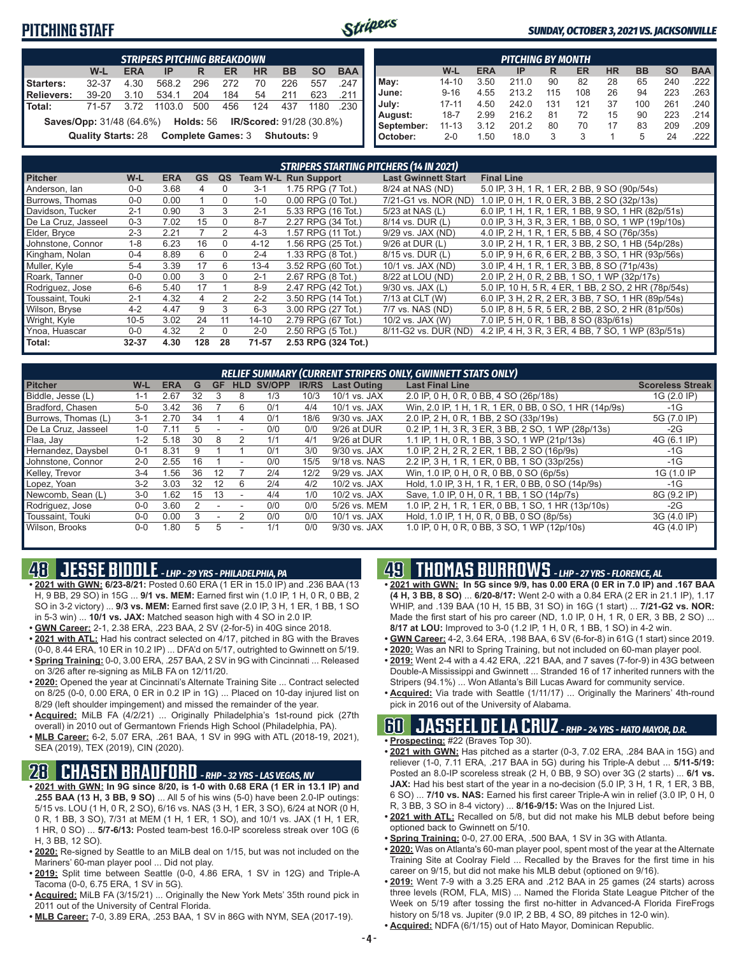### **PITCHING STAFF**



#### *SUNDAY, OCTOBER 3, 2021 VS. JACKSONVILLE*

| <b>STRIPERS PITCHING BREAKDOWN</b> |                                                                                                                 |            |        |     |     |           |           |           |            |  |  |  |  |
|------------------------------------|-----------------------------------------------------------------------------------------------------------------|------------|--------|-----|-----|-----------|-----------|-----------|------------|--|--|--|--|
|                                    | W-L                                                                                                             | <b>ERA</b> | IP     | R   | ER  | <b>HR</b> | <b>BB</b> | <b>SO</b> | <b>BAA</b> |  |  |  |  |
| <b>Starters:</b>                   | 32-37                                                                                                           | 4.30       | 568.2  | 296 | 272 | 70        | 226       | 557       | .247       |  |  |  |  |
| <b>Relievers:</b>                  | 39-20                                                                                                           | 3.10       | 534.1  | 204 | 184 | 54        | 211       | 623       | .211       |  |  |  |  |
| <b>Total:</b>                      | 71-57                                                                                                           | 3.72       | 1103.0 | 500 | 456 | 124       | 437       | 1180      | .230       |  |  |  |  |
|                                    | Saves/Opp: 31/48 (64.6%) Holds: 56 IR/Scored: 91/28 (30.8%)<br>Quality Starts: 28 Complete Games: 3 Shutouts: 9 |            |        |     |     |           |           |           |            |  |  |  |  |

|            |           |            | <b>PITCHING BY MONTH</b> |     |     |           |           |           |                       |
|------------|-----------|------------|--------------------------|-----|-----|-----------|-----------|-----------|-----------------------|
|            | W-L       | <b>ERA</b> | ΙP                       | R   | ER  | <b>HR</b> | <b>BB</b> | <b>SO</b> | <b>BAA</b>            |
| May:       | $14 - 10$ | 3.50       | 211.0                    | 90  | 82  | 28        | 65        | 240       | $.222$ I              |
| June:      | $9 - 16$  | 4.55       | 213.2                    | 115 | 108 | 26        | 94        | 223       | .263                  |
| July:      | $17 - 11$ | 4.50       | 242.0                    | 131 | 121 | 37        | 100       | 261       | $.240$ $\blacksquare$ |
| August:    | $18 - 7$  | 2.99       | 216.2                    | 81  | 72  | 15        | 90        | 223       | .214                  |
| September: | $11 - 13$ | 3.12       | 201.2                    | 80  | 70  | 17        | 83        | 209       | .209                  |
| October:   | $2 - 0$   | 1.50       | 18.0                     | 3   | 3   |           | 5         | 24        | .222                  |

|                        |         |            |           |              |           | <b>STRIPERS STARTING PITCHERS (14 IN 2021)</b> |                            |                                                     |
|------------------------|---------|------------|-----------|--------------|-----------|------------------------------------------------|----------------------------|-----------------------------------------------------|
| <b>Pitcher</b>         | W-L     | <b>ERA</b> | <b>GS</b> | QS           |           | <b>Team W-L Run Support</b>                    | <b>Last Gwinnett Start</b> | <b>Final Line</b>                                   |
| Anderson, Ian          | $0 - 0$ | 3.68       | 4         | $\Omega$     | $3 - 1$   | 1.75 RPG (7 Tot.)                              | 8/24 at NAS (ND)           | 5.0 IP, 3 H, 1 R, 1 ER, 2 BB, 9 SO (90p/54s)        |
| <b>Burrows. Thomas</b> | $0-0$   | 0.00       |           | $\Omega$     | $1 - 0$   | $0.00$ RPG $(0$ Tot.)                          | 7/21-G1 vs. NOR (ND)       | 1.0 IP, 0 H, 1 R, 0 ER, 3 BB, 2 SO (32p/13s)        |
| Davidson, Tucker       | $2 - 1$ | 0.90       | 3         | 3            | $2 - 1$   | 5.33 RPG (16 Tot.)                             | 5/23 at NAS (L)            | 6.0 IP, 1 H, 1 R, 1 ER, 1 BB, 9 SO, 1 HR (82p/51s)  |
| De La Cruz. Jasseel    | $0 - 3$ | 7.02       | 15        | $\Omega$     | $8 - 7$   | 2.27 RPG (34 Tot.)                             | 8/14 vs. DUR (L)           | 0.0 IP, 3 H, 3 R, 3 ER, 1 BB, 0 SO, 1 WP (19p/10s)  |
| Elder, Bryce           | $2 - 3$ | 2.21       |           | 2            | $4 - 3$   | 1.57 RPG (11 Tot.)                             | 9/29 vs. JAX (ND)          | 4.0 IP, 2 H, 1 R, 1 ER, 5 BB, 4 SO (76p/35s)        |
| Johnstone, Connor      | $1 - 8$ | 6.23       | 16        | $\Omega$     | $4 - 12$  | 1.56 RPG (25 Tot.)                             | $9/26$ at DUR $(L)$        | 3.0 IP, 2 H, 1 R, 1 ER, 3 BB, 2 SO, 1 HB (54p/28s)  |
| Kingham, Nolan         | $0 - 4$ | 8.89       | 6         | $\Omega$     | $2 - 4$   | 1.33 RPG (8 Tot.)                              | 8/15 vs. DUR (L)           | 5.0 IP, 9 H, 6 R, 6 ER, 2 BB, 3 SO, 1 HR (93p/56s)  |
| Muller, Kyle           | $5 - 4$ | 3.39       | 17        | 6            | $13 - 4$  | 3.52 RPG (60 Tot.)                             | 10/1 vs. JAX (ND)          | 3.0 IP, 4 H, 1 R, 1 ER, 3 BB, 8 SO (71p/43s)        |
| Roark, Tanner          | $0-0$   | 0.00       | 3         | $\mathbf{0}$ | $2 - 1$   | 2.67 RPG (8 Tot.)                              | 8/22 at LOU (ND)           | 2.0 IP, 2 H, 0 R, 2 BB, 1 SO, 1 WP (32p/17s)        |
| Rodriguez, Jose        | $6-6$   | 5.40       | 17        |              | $8 - 9$   | 2.47 RPG (42 Tot.)                             | $9/30$ vs. JAX $(L)$       | 5.0 IP, 10 H, 5 R, 4 ER, 1 BB, 2 SO, 2 HR (78p/54s) |
| Toussaint. Touki       | $2 - 1$ | 4.32       | 4         | 2            | $2 - 2$   | 3.50 RPG (14 Tot.)                             | 7/13 at CLT (W)            | 6.0 IP, 3 H, 2 R, 2 ER, 3 BB, 7 SO, 1 HR (89p/54s)  |
| Wilson, Bryse          | $4 - 2$ | 4.47       | 9         | 3            | $6 - 3$   | 3.00 RPG (27 Tot.)                             | 7/7 vs. NAS (ND)           | 5.0 IP, 8 H, 5 R, 5 ER, 2 BB, 2 SO, 2 HR (81p/50s)  |
| Wright, Kyle           | $10-5$  | 3.02       | 24        | 11           | $14 - 10$ | 2.79 RPG (67 Tot.)                             | 10/2 vs. JAX (W)           | 7.0 IP, 5 H, 0 R, 1 BB, 8 SO (83p/61s)              |
| Ynoa, Huascar          | $0-0$   | 4.32       | 2         | $\Omega$     | $2 - 0$   | 2.50 RPG (5 Tot.)                              | 8/11-G2 vs. DUR (ND)       | 4.2 IP, 4 H, 3 R, 3 ER, 4 BB, 7 SO, 1 WP (83p/51s)  |
| Total:                 | 32-37   | 4.30       | 128       | 28           | 71-57     | 2.53 RPG (324 Tot.)                            |                            |                                                     |

|                     |         |            |    |    |                          |        |              |                    | RELIEF SUMMARY (CURRENT STRIPERS ONLY, GWINNETT STATS ONLY) |                         |
|---------------------|---------|------------|----|----|--------------------------|--------|--------------|--------------------|-------------------------------------------------------------|-------------------------|
| <b>Pitcher</b>      | W-L     | <b>ERA</b> | G  | GF |                          | SV/OPP | <b>IR/RS</b> | <b>Last Outing</b> | <b>Last Final Line</b>                                      | <b>Scoreless Streak</b> |
| Biddle, Jesse (L)   | $1 - 1$ | 2.67       | 32 |    |                          | 1/3    | 10/3         | 10/1 vs. JAX       | 2.0 IP, 0 H, 0 R, 0 BB, 4 SO (26p/18s)                      | 1G (2.0 IP)             |
| Bradford, Chasen    | $5-0$   | 3.42       | 36 |    | 6                        | 0/1    | 4/4          | 10/1 vs. JAX       | Win, 2.0 IP, 1 H, 1 R, 1 ER, 0 BB, 0 SO, 1 HR (14p/9s)      | $-1G$                   |
| Burrows, Thomas (L) | $3 - 1$ | 2.70       | 34 |    | 4                        | 0/1    | 18/6         | 9/30 vs. JAX       | 2.0 IP, 2 H, 0 R, 1 BB, 2 SO (33p/19s)                      | 5G (7.0 IP)             |
| De La Cruz, Jasseel | 1-0     | 7.11       |    |    |                          | 0/0    | 0/0          | 9/26 at DUR        | 0.2 IP, 1 H, 3 R, 3 ER, 3 BB, 2 SO, 1 WP (28p/13s)          | $-2G$                   |
| Flaa, Jay           | $1 - 2$ | 5.18       | 30 | 8  |                          | 1/1    | 4/1          | 9/26 at DUR        | 1.1 IP, 1 H, 0 R, 1 BB, 3 SO, 1 WP (21p/13s)                | 4G (6.1 IP)             |
| Hernandez, Davsbel  | $0 - 1$ | 8.31       |    |    |                          | 0/1    | 3/0          | 9/30 vs. JAX       | 1.0 IP. 2 H. 2 R. 2 ER. 1 BB. 2 SO (16p/9s)                 | $-1G$                   |
| Johnstone, Connor   | $2 - 0$ | 2.55       | 16 |    | $\overline{\phantom{a}}$ | 0/0    | 15/5         | 9/18 vs. NAS       | 2.2 IP. 3 H. 1 R. 1 ER. 0 BB. 1 SO (33p/25s)                | $-1G$                   |
| Kelley, Trevor      | $3 - 4$ | .56        | 36 | 12 |                          | 2/4    | 12/2         | 9/29 vs. JAX       | Win, 1.0 IP, 0 H, 0 R, 0 BB, 0 SO (6p/5s)                   | 1G (1.0 IP              |
| Lopez, Yoan         | $3-2$   | 3.03       | 32 | 12 | 6                        | 2/4    | 4/2          | 10/2 vs. JAX       | Hold, 1.0 IP, 3 H, 1 R, 1 ER, 0 BB, 0 SO (14p/9s)           | -1G                     |
| Newcomb, Sean (L)   | $3-0$   | .62        | 15 | 13 |                          | 4/4    | 1/0          | 10/2 vs. JAX       | Save, 1.0 IP, 0 H, 0 R, 1 BB, 1 SO (14p/7s)                 | 8G (9.2 IP)             |
| Rodriguez, Jose     | $0 - 0$ | 3.60       |    |    |                          | 0/0    | 0/0          | 5/26 vs. MEM       | 1.0 IP, 2 H, 1 R, 1 ER, 0 BB, 1 SO, 1 HR (13p/10s)          | $-2G$                   |
| Toussaint. Touki    | $0 - 0$ | 0.00       | 3  |    |                          | 0/0    | 0/0          | 10/1 vs. JAX       | Hold, 1.0 IP, 1 H, 0 R, 0 BB, 0 SO (8p/5s)                  | 3G (4.0 IP)             |
| Wilson, Brooks      | $0 - 0$ | .80        | h. | b  |                          | 1/1    | 0/0          | $9/30$ vs. JAX     | 1.0 IP, 0 H, 0 R, 0 BB, 3 SO, 1 WP (12p/10s)                | 4G (4.0 IP)             |

## **48 JESSE BIDDLE** *- LHP - 29 YRS - PHILADELPHIA, PA*

- **• 2021 with GWN: 6/23-8/21:** Posted 0.60 ERA (1 ER in 15.0 IP) and .236 BAA (13 H, 9 BB, 29 SO) in 15G ... **9/1 vs. MEM:** Earned first win (1.0 IP, 1 H, 0 R, 0 BB, 2 SO in 3-2 victory) ... **9/3 vs. MEM:** Earned first save (2.0 IP, 3 H, 1 ER, 1 BB, 1 SO in 5-3 win) ... **10/1 vs. JAX:** Matched season high with 4 SO in 2.0 IP.
- **• GWN Career:** 2-1, 2.38 ERA, .223 BAA, 2 SV (2-for-5) in 40G since 2018.
- **• 2021 with ATL:** Had his contract selected on 4/17, pitched in 8G with the Braves (0-0, 8.44 ERA, 10 ER in 10.2 IP) ... DFA'd on 5/17, outrighted to Gwinnett on 5/19.
- **• Spring Training:** 0-0, 3.00 ERA, .257 BAA, 2 SV in 9G with Cincinnati ... Released on 3/26 after re-signing as MiLB FA on 12/11/20.
- **• 2020:** Opened the year at Cincinnati's Alternate Training Site ... Contract selected on 8/25 (0-0, 0.00 ERA, 0 ER in 0.2 IP in 1G) ... Placed on 10-day injured list on 8/29 (left shoulder impingement) and missed the remainder of the year.
- **• Acquired:** MiLB FA (4/2/21) ... Originally Philadelphia's 1st-round pick (27th overall) in 2010 out of Germantown Friends High School (Philadelphia, PA).
- **• MLB Career:** 6-2, 5.07 ERA, .261 BAA, 1 SV in 99G with ATL (2018-19, 2021), SEA (2019), TEX (2019), CIN (2020).

### **28 CHASEN BRADFORD** *- RHP - 32 YRS - LAS VEGAS, NV*

- **• 2021 with GWN: In 9G since 8/20, is 1-0 with 0.68 ERA (1 ER in 13.1 IP) and .255 BAA (13 H, 3 BB, 9 SO)** ... All 5 of his wins (5-0) have been 2.0-IP outings: 5/15 vs. LOU (1 H, 0 R, 2 SO), 6/16 vs. NAS (3 H, 1 ER, 3 SO), 6/24 at NOR (0 H, 0 R, 1 BB, 3 SO), 7/31 at MEM (1 H, 1 ER, 1 SO), and 10/1 vs. JAX (1 H, 1 ER, 1 HR, 0 SO) ... **5/7-6/13:** Posted team-best 16.0-IP scoreless streak over 10G (6 H, 3 BB, 12 SO).
- **• 2020:** Re-signed by Seattle to an MiLB deal on 1/15, but was not included on the Mariners' 60-man player pool ... Did not play.
- **• 2019:** Split time between Seattle (0-0, 4.86 ERA, 1 SV in 12G) and Triple-A Tacoma (0-0, 6.75 ERA, 1 SV in 5G).
- **• Acquired:** MiLB FA (3/15/21) ... Originally the New York Mets' 35th round pick in 2011 out of the University of Central Florida.
- **• MLB Career:** 7-0, 3.89 ERA, .253 BAA, 1 SV in 86G with NYM, SEA (2017-19).

## **49 THOMAS BURROWS** *- LHP - 27 YRS - FLORENCE, AL*

- **• 2021 with GWN: In 5G since 9/9, has 0.00 ERA (0 ER in 7.0 IP) and .167 BAA (4 H, 3 BB, 8 SO)** ... **6/20-8/17:** Went 2-0 with a 0.84 ERA (2 ER in 21.1 IP), 1.17 WHIP, and .139 BAA (10 H, 15 BB, 31 SO) in 16G (1 start) ... **7/21-G2 vs. NOR:** Made the first start of his pro career (ND, 1.0 IP, 0 H, 1 R, 0 ER, 3 BB, 2 SO) ... **8/17 at LOU:** Improved to 3-0 (1.2 IP, 1 H, 0 R, 1 BB, 1 SO) in 4-2 win.
- **• GWN Career:** 4-2, 3.64 ERA, .198 BAA, 6 SV (6-for-8) in 61G (1 start) since 2019.
- **• 2020:** Was an NRI to Spring Training, but not included on 60-man player pool.
- **• 2019:** Went 2-4 with a 4.42 ERA, .221 BAA, and 7 saves (7-for-9) in 43G between Double-A Mississippi and Gwinnett ... Stranded 16 of 17 inherited runners with the Stripers (94.1%) ... Won Atlanta's Bill Lucas Award for community service.
- **• Acquired:** Via trade with Seattle (1/11/17) ... Originally the Mariners' 4th-round pick in 2016 out of the University of Alabama.

### **60 JASSEEL DE LA CRUZ** *- RHP - 24 YRS - HATO MAYOR, D.R.*

- **• Prospecting:** #22 (Braves Top 30).
- **• 2021 with GWN:** Has pitched as a starter (0-3, 7.02 ERA, .284 BAA in 15G) and reliever (1-0, 7.11 ERA, .217 BAA in 5G) during his Triple-A debut ... **5/11-5/19:** Posted an 8.0-IP scoreless streak (2 H, 0 BB, 9 SO) over 3G (2 starts) ... **6/1 vs. JAX:** Had his best start of the year in a no-decision (5.0 IP, 3 H, 1 R, 1 ER, 3 BB, 6 SO) ... **7/10 vs. NAS:** Earned his first career Triple-A win in relief (3.0 IP, 0 H, 0 R, 3 BB, 3 SO in 8-4 victory) ... **8/16-9/15:** Was on the Injured List.
- **• 2021 with ATL:** Recalled on 5/8, but did not make his MLB debut before being optioned back to Gwinnett on 5/10.
- **• Spring Training:** 0-0, 27.00 ERA, .500 BAA, 1 SV in 3G with Atlanta.
- **• 2020:** Was on Atlanta's 60-man player pool, spent most of the year at the Alternate Training Site at Coolray Field ... Recalled by the Braves for the first time in his career on 9/15, but did not make his MLB debut (optioned on 9/16).
- **• 2019:** Went 7-9 with a 3.25 ERA and .212 BAA in 25 games (24 starts) across three levels (ROM, FLA, MIS) ... Named the Florida State League Pitcher of the Week on 5/19 after tossing the first no-hitter in Advanced-A Florida FireFrogs history on 5/18 vs. Jupiter (9.0 IP, 2 BB, 4 SO, 89 pitches in 12-0 win).
- **• Acquired:** NDFA (6/1/15) out of Hato Mayor, Dominican Republic.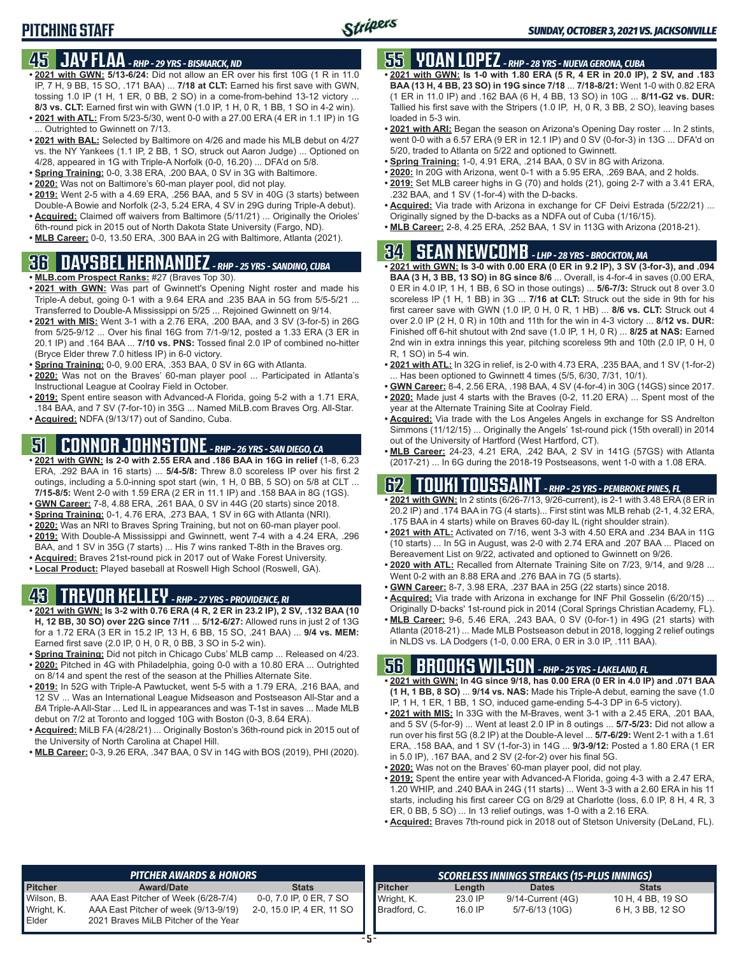## **PITCHING STAFF**

### **45 JAY FLAA** *- RHP - 29 YRS - BISMARCK, ND*

- **• 2021 with GWN: 5/13-6/24:** Did not allow an ER over his first 10G (1 R in 11.0 IP, 7 H, 9 BB, 15 SO, .171 BAA) ... **7/18 at CLT:** Earned his first save with GWN, tossing 1.0 IP (1 H, 1 ER, 0 BB, 2 SO) in a come-from-behind 13-12 victory ... **8/3 vs. CLT:** Earned first win with GWN (1.0 IP, 1 H, 0 R, 1 BB, 1 SO in 4-2 win).
- **• 2021 with ATL:** From 5/23-5/30, went 0-0 with a 27.00 ERA (4 ER in 1.1 IP) in 1G ... Outrighted to Gwinnett on 7/13.
- **• 2021 with BAL:** Selected by Baltimore on 4/26 and made his MLB debut on 4/27 vs. the NY Yankees (1.1 IP, 2 BB, 1 SO, struck out Aaron Judge) ... Optioned on 4/28, appeared in 1G with Triple-A Norfolk (0-0, 16.20) ... DFA'd on 5/8.
- **• Spring Training:** 0-0, 3.38 ERA, .200 BAA, 0 SV in 3G with Baltimore.
- **• 2020:** Was not on Baltimore's 60-man player pool, did not play.
- **• 2019:** Went 2-5 with a 4.69 ERA, .256 BAA, and 5 SV in 40G (3 starts) between Double-A Bowie and Norfolk (2-3, 5.24 ERA, 4 SV in 29G during Triple-A debut).
- **• Acquired:** Claimed off waivers from Baltimore (5/11/21) ... Originally the Orioles' 6th-round pick in 2015 out of North Dakota State University (Fargo, ND).
- **• MLB Career:** 0-0, 13.50 ERA, .300 BAA in 2G with Baltimore, Atlanta (2021).

## **36 DAYSBEL HERNANDEZ** *- RHP - 25 YRS - SANDINO, CUBA*

- **• MLB.com Prospect Ranks:** #27 (Braves Top 30).
- **• 2021 with GWN:** Was part of Gwinnett's Opening Night roster and made his Triple-A debut, going 0-1 with a 9.64 ERA and .235 BAA in 5G from 5/5-5/21 ... Transferred to Double-A Mississippi on 5/25 ... Rejoined Gwinnett on 9/14.
- **• 2021 with MIS:** Went 3-1 with a 2.76 ERA, .200 BAA, and 3 SV (3-for-5) in 26G from 5/25-9/12 ... Over his final 16G from 7/1-9/12, posted a 1.33 ERA (3 ER in 20.1 IP) and .164 BAA ... **7/10 vs. PNS:** Tossed final 2.0 IP of combined no-hitter (Bryce Elder threw 7.0 hitless IP) in 6-0 victory.
- **• Spring Training:** 0-0, 9.00 ERA, .353 BAA, 0 SV in 6G with Atlanta.
- **• 2020:** Was not on the Braves' 60-man player pool ... Participated in Atlanta's Instructional League at Coolray Field in October.
- **• 2019:** Spent entire season with Advanced-A Florida, going 5-2 with a 1.71 ERA, .184 BAA, and 7 SV (7-for-10) in 35G ... Named MiLB.com Braves Org. All-Star.
- **• Acquired:** NDFA (9/13/17) out of Sandino, Cuba.

## **51 CONNOR JOHNSTONE** *- RHP - 26 YRS - SAN DIEGO, CA*

- **• 2021 with GWN: Is 2-0 with 2.55 ERA and .186 BAA in 16G in relief** (1-8, 6.23 ERA, .292 BAA in 16 starts) ... **5/4-5/8:** Threw 8.0 scoreless IP over his first 2 outings, including a 5.0-inning spot start (win, 1 H, 0 BB, 5 SO) on 5/8 at CLT ... **7/15-8/5:** Went 2-0 with 1.59 ERA (2 ER in 11.1 IP) and .158 BAA in 8G (1GS).
- **• GWN Career:** 7-8, 4.88 ERA, .261 BAA, 0 SV in 44G (20 starts) since 2018.
- **• Spring Training:** 0-1, 4.76 ERA, .273 BAA, 1 SV in 6G with Atlanta (NRI).
- **• 2020:** Was an NRI to Braves Spring Training, but not on 60-man player pool. **• 2019:** With Double-A Mississippi and Gwinnett, went 7-4 with a 4.24 ERA, .296
- BAA, and 1 SV in 35G (7 starts) ... His 7 wins ranked T-8th in the Braves org.
- **• Acquired:** Braves 21st-round pick in 2017 out of Wake Forest University.
- **• Local Product:** Played baseball at Roswell High School (Roswell, GA).

### **43 TREVOR KELLEY** *- RHP - 27 YRS - PROVIDENCE, RI*

- **• 2021 with GWN: Is 3-2 with 0.76 ERA (4 R, 2 ER in 23.2 IP), 2 SV, .132 BAA (10 H, 12 BB, 30 SO) over 22G since 7/11** ... **5/12-6/27:** Allowed runs in just 2 of 13G for a 1.72 ERA (3 ER in 15.2 IP, 13 H, 6 BB, 15 SO, .241 BAA) ... **9/4 vs. MEM:** Earned first save (2.0 IP, 0 H, 0 R, 0 BB, 3 SO in 5-2 win).
- **• Spring Training:** Did not pitch in Chicago Cubs' MLB camp ... Released on 4/23. **• 2020:** Pitched in 4G with Philadelphia, going 0-0 with a 10.80 ERA ... Outrighted on 8/14 and spent the rest of the season at the Phillies Alternate Site.
- **• 2019:** In 52G with Triple-A Pawtucket, went 5-5 with a 1.79 ERA, .216 BAA, and 12 SV ... Was an International League Midseason and Postseason All-Star and a *BA* Triple-A All-Star ... Led IL in appearances and was T-1st in saves ... Made MLB debut on 7/2 at Toronto and logged 10G with Boston (0-3, 8.64 ERA).
- **• Acquired:** MiLB FA (4/28/21) ... Originally Boston's 36th-round pick in 2015 out of the University of North Carolina at Chapel Hill.
- **• MLB Career:** 0-3, 9.26 ERA, .347 BAA, 0 SV in 14G with BOS (2019), PHI (2020).

## **55 YOAN LOPEZ** *- RHP - 28 YRS - NUEVA GERONA, CUBA*

- **• 2021 with GWN: Is 1-0 with 1.80 ERA (5 R, 4 ER in 20.0 IP), 2 SV, and .183 BAA (13 H, 4 BB, 23 SO) in 19G since 7/18** ... **7/18-8/21:** Went 1-0 with 0.82 ERA (1 ER in 11.0 IP) and .162 BAA (6 H, 4 BB, 13 SO) in 10G ... **8/11-G2 vs. DUR:** Tallied his first save with the Stripers (1.0 IP, H, 0 R, 3 BB, 2 SO), leaving bases loaded in 5-3 win.
- **• 2021 with ARI:** Began the season on Arizona's Opening Day roster ... In 2 stints, went 0-0 with a 6.57 ERA (9 ER in 12.1 IP) and 0 SV (0-for-3) in 13G ... DFA'd on 5/20, traded to Atlanta on 5/22 and optioned to Gwinnett.
- **• Spring Training:** 1-0, 4.91 ERA, .214 BAA, 0 SV in 8G with Arizona.
- **• 2020:** In 20G with Arizona, went 0-1 with a 5.95 ERA, .269 BAA, and 2 holds. **• 2019:** Set MLB career highs in G (70) and holds (21), going 2-7 with a 3.41 ERA,
- .232 BAA, and 1 SV (1-for-4) with the D-backs. **• Acquired:** Via trade with Arizona in exchange for CF Deivi Estrada (5/22/21) ...
- Originally signed by the D-backs as a NDFA out of Cuba (1/16/15). **• MLB Career:** 2-8, 4.25 ERA, .252 BAA, 1 SV in 113G with Arizona (2018-21).

## **34 SEAN NEWCOMB** *- LHP - 28 YRS - BROCKTON, MA*

- **• 2021 with GWN: Is 3-0 with 0.00 ERA (0 ER in 9.2 IP), 3 SV (3-for-3), and .094 BAA (3 H, 3 BB, 13 SO) in 8G since 8/6** ... Overall, is 4-for-4 in saves (0.00 ERA, 0 ER in 4.0 IP, 1 H, 1 BB, 6 SO in those outings) ... **5/6-7/3:** Struck out 8 over 3.0 scoreless IP (1 H, 1 BB) in 3G ... **7/16 at CLT:** Struck out the side in 9th for his first career save with GWN (1.0 IP, 0 H, 0 R, 1 HB) ... **8/6 vs. CLT:** Struck out 4 over 2.0 IP (2 H, 0 R) in 10th and 11th for the win in 4-3 victory ... **8/12 vs. DUR:** Finished off 6-hit shutout with 2nd save (1.0 IP, 1 H, 0 R) ... **8/25 at NAS:** Earned 2nd win in extra innings this year, pitching scoreless 9th and 10th (2.0 IP, 0 H, 0 R, 1 SO) in 5-4 win.
- **• 2021 with ATL:** In 32G in relief, is 2-0 with 4.73 ERA, .235 BAA, and 1 SV (1-for-2) . Has been optioned to Gwinnett 4 times (5/5, 6/30, 7/31, 10/1).
- **• GWN Career:** 8-4, 2.56 ERA, .198 BAA, 4 SV (4-for-4) in 30G (14GS) since 2017. **• 2020:** Made just 4 starts with the Braves (0-2, 11.20 ERA) ... Spent most of the year at the Alternate Training Site at Coolray Field.
- **• Acquired:** Via trade with the Los Angeles Angels in exchange for SS Andrelton Simmons (11/12/15) ... Originally the Angels' 1st-round pick (15th overall) in 2014 out of the University of Hartford (West Hartford, CT).
- **• MLB Career:** 24-23, 4.21 ERA, .242 BAA, 2 SV in 141G (57GS) with Atlanta (2017-21) ... In 6G during the 2018-19 Postseasons, went 1-0 with a 1.08 ERA.

## **62 TOUKI TOUSSAINT** *- RHP - 25 YRS - PEMBROKE PINES, FL*

- **• 2021 with GWN:** In 2 stints (6/26-7/13, 9/26-current), is 2-1 with 3.48 ERA (8 ER in 20.2 IP) and .174 BAA in 7G (4 starts)... First stint was MLB rehab (2-1, 4.32 ERA, .175 BAA in 4 starts) while on Braves 60-day IL (right shoulder strain).
- **• 2021 with ATL:** Activated on 7/16, went 3-3 with 4.50 ERA and .234 BAA in 11G (10 starts) ... In 5G in August, was 2-0 with 2.74 ERA and .207 BAA ... Placed on Bereavement List on 9/22, activated and optioned to Gwinnett on 9/26.
- **• 2020 with ATL:** Recalled from Alternate Training Site on 7/23, 9/14, and 9/28 ... Went 0-2 with an 8.88 ERA and .276 BAA in 7G (5 starts).
- **• GWN Career:** 8-7, 3.98 ERA, .237 BAA in 25G (22 starts) since 2018.
- **• Acquired:** Via trade with Arizona in exchange for INF Phil Gosselin (6/20/15) ... Originally D-backs' 1st-round pick in 2014 (Coral Springs Christian Academy, FL).
- **• MLB Career:** 9-6, 5.46 ERA, .243 BAA, 0 SV (0-for-1) in 49G (21 starts) with Atlanta (2018-21) ... Made MLB Postseason debut in 2018, logging 2 relief outings in NLDS vs. LA Dodgers (1-0, 0.00 ERA, 0 ER in 3.0 IP, .111 BAA).

### **56 BROOKS WILSON** *- RHP - 25 YRS - LAKELAND, FL*

- **• 2021 with GWN: In 4G since 9/18, has 0.00 ERA (0 ER in 4.0 IP) and .071 BAA (1 H, 1 BB, 8 SO)** ... **9/14 vs. NAS:** Made his Triple-A debut, earning the save (1.0 IP, 1 H, 1 ER, 1 BB, 1 SO, induced game-ending 5-4-3 DP in 6-5 victory).
- **• 2021 with MIS:** In 33G with the M-Braves, went 3-1 with a 2.45 ERA, .201 BAA, and 5 SV (5-for-9) ... Went at least 2.0 IP in 8 outings ... **5/7-5/23:** Did not allow a run over his first 5G (8.2 IP) at the Double-A level ... **5/7-6/29:** Went 2-1 with a 1.61 ERA, .158 BAA, and 1 SV (1-for-3) in 14G ... **9/3-9/12:** Posted a 1.80 ERA (1 ER in 5.0 IP), .167 BAA, and 2 SV (2-for-2) over his final 5G.
- **• 2020:** Was not on the Braves' 60-man player pool, did not play.
- **• 2019:** Spent the entire year with Advanced-A Florida, going 4-3 with a 2.47 ERA, 1.20 WHIP, and .240 BAA in 24G (11 starts) ... Went 3-3 with a 2.60 ERA in his 11 starts, including his first career CG on 8/29 at Charlotte (loss, 6.0 IP, 8 H, 4 R, 3 ER, 0 BB, 5 SO) ... In 13 relief outings, was 1-0 with a 2.16 ERA.
- **• Acquired:** Braves 7th-round pick in 2018 out of Stetson University (DeLand, FL).

|                | <b>PITCHER AWARDS &amp; HONORS</b>   |                           |                | SCORELESS INNINGS STREAKS (15-PLUS INNINGS) |                   |                   |  |  |  |  |
|----------------|--------------------------------------|---------------------------|----------------|---------------------------------------------|-------------------|-------------------|--|--|--|--|
| <b>Pitcher</b> | <b>Award/Date</b>                    | <b>Stats</b>              | <b>Pitcher</b> | Length                                      | <b>Dates</b>      | <b>Stats</b>      |  |  |  |  |
| Wilson, B.     | AAA East Pitcher of Week (6/28-7/4)  | 0-0, 7.0 IP, 0 ER, 7 SO   | Wright, K.     | 23.0 IP                                     | 9/14-Current (4G) | 10 H, 4 BB, 19 SO |  |  |  |  |
| Wright, K.     | AAA East Pitcher of week (9/13-9/19) | 2-0, 15.0 IP, 4 ER, 11 SO | Bradford, C.   | 16.0 IP                                     | 5/7-6/13 (10G)    | 6 H, 3 BB, 12 SO  |  |  |  |  |
| Elder          | 2021 Braves MiLB Pitcher of the Year |                           |                |                                             |                   |                   |  |  |  |  |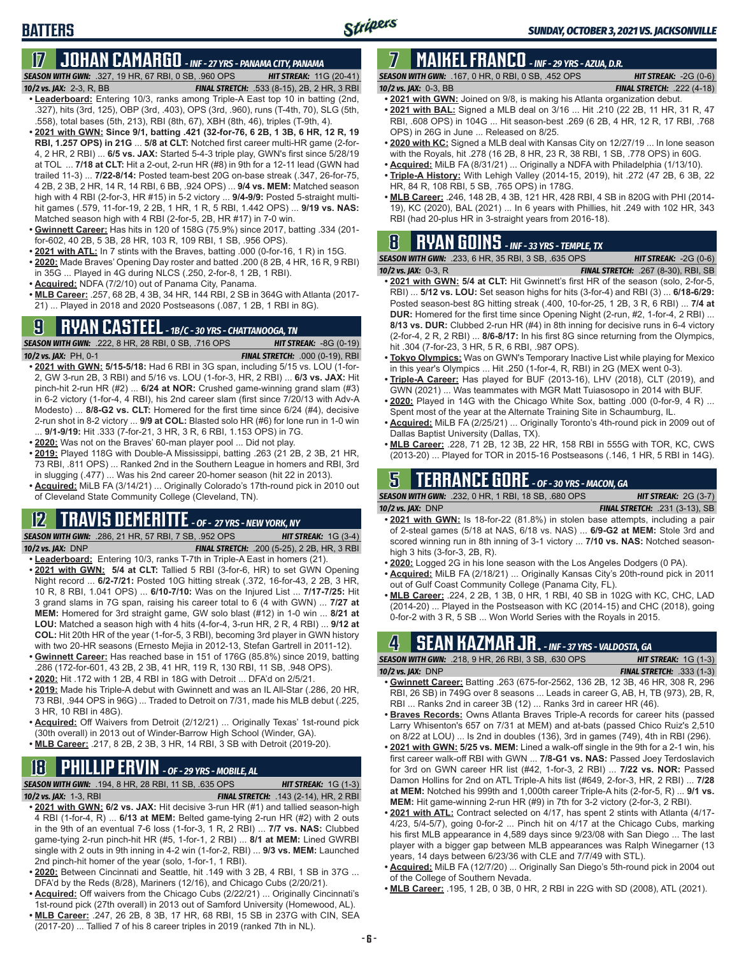## **17 JOHAN CAMARGO** *- INF - 27 YRS - PANAMA CITY, PANAMA*

*SEASON WITH GWN:*.327, 19 HR, 67 RBI, 0 SB, .960 OPS *HIT STREAK:* 11G (20-41)

*10/2 vs. JAX:* 2-3, R, BB *FINAL STRETCH:* .533 (8-15), 2B, 2 HR, 3 RBI

**BATTERS**

- **• Leaderboard:** Entering 10/3, ranks among Triple-A East top 10 in batting (2nd, .327), hits (3rd, 125), OBP (3rd, .403), OPS (3rd, .960), runs (T-4th, 70), SLG (5th, .558), total bases (5th, 213), RBI (8th, 67), XBH (8th, 46), triples (T-9th, 4).
- **• 2021 with GWN: Since 9/1, batting .421 (32-for-76, 6 2B, 1 3B, 6 HR, 12 R, 19 RBI, 1.257 OPS) in 21G** ... **5/8 at CLT:** Notched first career multi-HR game (2-for-4, 2 HR, 2 RBI) ... **6/5 vs. JAX:** Started 5-4-3 triple play, GWN's first since 5/28/19 at TOL ... **7/18 at CLT:** Hit a 2-out, 2-run HR (#8) in 9th for a 12-11 lead (GWN had trailed 11-3) ... **7/22-8/14:** Posted team-best 20G on-base streak (.347, 26-for-75, 4 2B, 2 3B, 2 HR, 14 R, 14 RBI, 6 BB, .924 OPS) ... **9/4 vs. MEM:** Matched season high with 4 RBI (2-for-3, HR #15) in 5-2 victory ... **9/4-9/9:** Posted 5-straight multihit games (.579, 11-for-19, 2 2B, 1 HR, 1 R, 5 RBI, 1.442 OPS) ... **9/19 vs. NAS:** Matched season high with 4 RBI (2-for-5, 2B, HR #17) in 7-0 win.
- **• Gwinnett Career:** Has hits in 120 of 158G (75.9%) since 2017, batting .334 (201 for-602, 40 2B, 5 3B, 28 HR, 103 R, 109 RBI, 1 SB, .956 OPS).
- **• 2021 with ATL:** In 7 stints with the Braves, batting .000 (0-for-16, 1 R) in 15G.
- **• 2020:** Made Braves' Opening Day roster and batted .200 (8 2B, 4 HR, 16 R, 9 RBI) in 35G ... Played in 4G during NLCS (.250, 2-for-8, 1 2B, 1 RBI).
- **• Acquired:** NDFA (7/2/10) out of Panama City, Panama.
- **• MLB Career:** .257, 68 2B, 4 3B, 34 HR, 144 RBI, 2 SB in 364G with Atlanta (2017- 21) ... Played in 2018 and 2020 Postseasons (.087, 1 2B, 1 RBI in 8G).

## **9 RYAN CASTEEL** *- 1B/C - 30 YRS - CHATTANOOGA, TN*

*SEASON WITH GWN:*.222, 8 HR, 28 RBI, 0 SB, .716 OPS *HIT STREAK:* -8G (0-19) *10/2 vs. JAX:*PH, 0-1 *FINAL STRETCH:* .000 (0-19), RBI

- **• 2021 with GWN: 5/15-5/18:** Had 6 RBI in 3G span, including 5/15 vs. LOU (1-for-2, GW 3-run 2B, 3 RBI) and 5/16 vs. LOU (1-for-3, HR, 2 RBI) ... **6/3 vs. JAX:** Hit pinch-hit 2-run HR (#2) ... **6/24 at NOR:** Crushed game-winning grand slam (#3) in 6-2 victory (1-for-4, 4 RBI), his 2nd career slam (first since 7/20/13 with Adv-A Modesto) ... **8/8-G2 vs. CLT:** Homered for the first time since 6/24 (#4), decisive 2-run shot in 8-2 victory ... **9/9 at COL:** Blasted solo HR (#6) for lone run in 1-0 win ... **9/1-9/19:** Hit .333 (7-for-21, 3 HR, 3 R, 6 RBI, 1.153 OPS) in 7G.
- **• 2020:** Was not on the Braves' 60-man player pool ... Did not play.
- **• 2019:** Played 118G with Double-A Mississippi, batting .263 (21 2B, 2 3B, 21 HR, 73 RBI, .811 OPS) ... Ranked 2nd in the Southern League in homers and RBI, 3rd in slugging (.477) ... Was his 2nd career 20-homer season (hit 22 in 2013).
- **• Acquired:** MiLB FA (3/14/21) ... Originally Colorado's 17th-round pick in 2010 out of Cleveland State Community College (Cleveland, TN).

### **12 TRAVIS DEMERITTE** *- OF - 27 YRS - NEW YORK, NY*

*SEASON WITH GWN:*.286, 21 HR, 57 RBI, 7 SB, .952 OPS *HIT STREAK:* 1G (3-4) *10/2 vs. JAX:*DNP *FINAL STRETCH:* .200 (5-25), 2 2B, HR, 3 RBI

- **• Leaderboard:** Entering 10/3, ranks T-7th in Triple-A East in homers (21).
- **• 2021 with GWN: 5/4 at CLT:** Tallied 5 RBI (3-for-6, HR) to set GWN Opening Night record ... **6/2-7/21:** Posted 10G hitting streak (.372, 16-for-43, 2 2B, 3 HR, 10 R, 8 RBI, 1.041 OPS) ... **6/10-7/10:** Was on the Injured List ... **7/17-7/25:** Hit 3 grand slams in 7G span, raising his career total to 6 (4 with GWN) ... **7/27 at MEM:** Homered for 3rd straight game, GW solo blast (#12) in 1-0 win ... **8/21 at LOU:** Matched a season high with 4 hits (4-for-4, 3-run HR, 2 R, 4 RBI) ... **9/12 at COL:** Hit 20th HR of the year (1-for-5, 3 RBI), becoming 3rd player in GWN history with two 20-HR seasons (Ernesto Mejia in 2012-13, Stefan Gartrell in 2011-12).
- **• Gwinnett Career:** Has reached base in 151 of 176G (85.8%) since 2019, batting .286 (172-for-601, 43 2B, 2 3B, 41 HR, 119 R, 130 RBI, 11 SB, .948 OPS).
- **• 2020:** Hit .172 with 1 2B, 4 RBI in 18G with Detroit ... DFA'd on 2/5/21.
- **• 2019:** Made his Triple-A debut with Gwinnett and was an IL All-Star (.286, 20 HR, 73 RBI, .944 OPS in 96G) ... Traded to Detroit on 7/31, made his MLB debut (.225, 3 HR, 10 RBI in 48G).
- **• Acquired:** Off Waivers from Detroit (2/12/21) ... Originally Texas' 1st-round pick (30th overall) in 2013 out of Winder-Barrow High School (Winder, GA).
- **• MLB Career:** .217, 8 2B, 2 3B, 3 HR, 14 RBI, 3 SB with Detroit (2019-20).

## **18 PHILLIP ERVIN** *- OF - 29 YRS - MOBILE, AL*

*SEASON WITH GWN:*.194, 8 HR, 28 RBI, 11 SB, .635 OPS *HIT STREAK:* 1G (1-3)

- *10/2 vs. JAX:*1-3, RBI *FINAL STRETCH:* .143 (2-14), HR, 2 RBI **• 2021 with GWN: 6/2 vs. JAX:** Hit decisive 3-run HR (#1) and tallied season-high 4 RBI (1-for-4, R) ... **6/13 at MEM:** Belted game-tying 2-run HR (#2) with 2 outs in the 9th of an eventual 7-6 loss (1-for-3, 1 R, 2 RBI) ... **7/7 vs. NAS:** Clubbed game-tying 2-run pinch-hit HR (#5, 1-for-1, 2 RBI) ... **8/1 at MEM:** Lined GWRBI single with 2 outs in 9th inning in 4-2 win (1-for-2, RBI) ... **9/3 vs. MEM:** Launched 2nd pinch-hit homer of the year (solo, 1-for-1, 1 RBI).
- **• 2020:** Between Cincinnati and Seattle, hit .149 with 3 2B, 4 RBI, 1 SB in 37G ... DFA'd by the Reds (8/28), Mariners (12/16), and Chicago Cubs (2/20/21).
- **• Acquired:** Off waivers from the Chicago Cubs (2/22/21) ... Originally Cincinnati's 1st-round pick (27th overall) in 2013 out of Samford University (Homewood, AL).
- **• MLB Career:** .247, 26 2B, 8 3B, 17 HR, 68 RBI, 15 SB in 237G with CIN, SEA (2017-20) ... Tallied 7 of his 8 career triples in 2019 (ranked 7th in NL).

#### **7 MAIKEL FRANCO** *- INF - 29 YRS - AZUA, D.R. SEASON WITH GWN:*.167, 0 HR, 0 RBI, 0 SB, .452 OPS *HIT STREAK:* -2G (0-6)

- *10/2 vs. JAX:*0-3, BB *FINAL STRETCH:* .222 (4-18) **• 2021 with GWN:** Joined on 9/8, is making his Atlanta organization debut.
- **• 2021 with BAL:** Signed a MLB deal on 3/16 ... Hit .210 (22 2B, 11 HR, 31 R, 47 RBI, .608 OPS) in 104G ... Hit season-best .269 (6 2B, 4 HR, 12 R, 17 RBI, .768 OPS) in 26G in June ... Released on 8/25.
- **• 2020 with KC:** Signed a MLB deal with Kansas City on 12/27/19 ... In lone season with the Royals, hit .278 (16 2B, 8 HR, 23 R, 38 RBI, 1 SB, .778 OPS) in 60G.
- **• Acquired:** MiLB FA (8/31/21) ... Originally a NDFA with Philadelphia (1/13/10).
- **• Triple-A History:** With Lehigh Valley (2014-15, 2019), hit .272 (47 2B, 6 3B, 22 HR, 84 R, 108 RBI, 5 SB, .765 OPS) in 178G.
- **• MLB Career:** .246, 148 2B, 4 3B, 121 HR, 428 RBI, 4 SB in 820G with PHI (2014- 19), KC (2020), BAL (2021) ... In 6 years with Phillies, hit .249 with 102 HR, 343 RBI (had 20-plus HR in 3-straight years from 2016-18).

## **8 RYAN GOINS** *- INF - 33 YRS - TEMPLE, TX*

*SEASON WITH GWN:*.233, 6 HR, 35 RBI, 3 SB, .635 OPS *HIT STREAK:* -2G (0-6) *10/2 vs. JAX:*0-3, R *FINAL STRETCH:* .267 (8-30), RBI, SB

- **• 2021 with GWN: 5/4 at CLT:** Hit Gwinnett's first HR of the season (solo, 2-for-5, RBI) ... **5/12 vs. LOU:** Set season highs for hits (3-for-4) and RBI (3) ... **6/18-6/29:** Posted season-best 8G hitting streak (.400, 10-for-25, 1 2B, 3 R, 6 RBI) ... **7/4 at DUR:** Homered for the first time since Opening Night (2-run, #2, 1-for-4, 2 RBI) ... **8/13 vs. DUR:** Clubbed 2-run HR (#4) in 8th inning for decisive runs in 6-4 victory (2-for-4, 2 R, 2 RBI) ... **8/6-8/17:** In his first 8G since returning from the Olympics, hit .304 (7-for-23, 3 HR, 5 R, 6 RBI, .987 OPS).
- **• Tokyo Olympics:** Was on GWN's Temporary Inactive List while playing for Mexico in this year's Olympics ... Hit .250 (1-for-4, R, RBI) in 2G (MEX went 0-3).
- **• Triple-A Career:** Has played for BUF (2013-16), LHV (2018), CLT (2019), and GWN (2021) ... Was teammates with MGR Matt Tuiasosopo in 2014 with BUF.
- **• 2020:** Played in 14G with the Chicago White Sox, batting .000 (0-for-9, 4 R) ... Spent most of the year at the Alternate Training Site in Schaumburg, IL.
- **• Acquired:** MiLB FA (2/25/21) ... Originally Toronto's 4th-round pick in 2009 out of Dallas Baptist University (Dallas, TX).
- **• MLB Career:** .228, 71 2B, 12 3B, 22 HR, 158 RBI in 555G with TOR, KC, CWS (2013-20) ... Played for TOR in 2015-16 Postseasons (.146, 1 HR, 5 RBI in 14G).

### **5 TERRANCE GORE** *- OF - 30 YRS - MACON, GA*

*SEASON WITH GWN:*.232, 0 HR, 1 RBI, 18 SB, .680 OPS *HIT STREAK:* 2G (3-7) *10/2 vs. JAX:*DNP *FINAL STRETCH:* .231 (3-13), SB

- **• 2021 with GWN:** Is 18-for-22 (81.8%) in stolen base attempts, including a pair of 2-steal games (5/18 at NAS, 6/18 vs. NAS) ... **6/9-G2 at MEM:** Stole 3rd and scored winning run in 8th inning of 3-1 victory ... **7/10 vs. NAS:** Notched seasonhigh 3 hits (3-for-3, 2B, R).
- **• 2020:** Logged 2G in his lone season with the Los Angeles Dodgers (0 PA).
- **• Acquired:** MiLB FA (2/18/21) ... Originally Kansas City's 20th-round pick in 2011 out of Gulf Coast Community College (Panama City, FL).
- **• MLB Career:** .224, 2 2B, 1 3B, 0 HR, 1 RBI, 40 SB in 102G with KC, CHC, LAD (2014-20) ... Played in the Postseason with KC (2014-15) and CHC (2018), going 0-for-2 with 3 R, 5 SB ... Won World Series with the Royals in 2015.

## **4 SEAN KAZMAR JR.** *- INF - 37 YRS - VALDOSTA, GA*

| <b>SEASON WITH GWN: .218. 9 HR. 26 RBI. 3 SB. .630 OPS</b> |  |  | <b>HIT STREAK:</b> $1G(1-3)$     |  |
|------------------------------------------------------------|--|--|----------------------------------|--|
| 10/2 vs. JAX: $DNP$                                        |  |  | <b>FINAL STRETCH: .333 (1-3)</b> |  |
| - -                                                        |  |  |                                  |  |

- **• Gwinnett Career:** Batting .263 (675-for-2562, 136 2B, 12 3B, 46 HR, 308 R, 296 RBI, 26 SB) in 749G over 8 seasons ... Leads in career G, AB, H, TB (973), 2B, R, RBI ... Ranks 2nd in career 3B (12) ... Ranks 3rd in career HR (46).
- **• Braves Records:** Owns Atlanta Braves Triple-A records for career hits (passed Larry Whisenton's 657 on 7/31 at MEM) and at-bats (passed Chico Ruiz's 2,510 on 8/22 at LOU) ... Is 2nd in doubles (136), 3rd in games (749), 4th in RBI (296).
- **• 2021 with GWN: 5/25 vs. MEM:** Lined a walk-off single in the 9th for a 2-1 win, his first career walk-off RBI with GWN ... **7/8-G1 vs. NAS:** Passed Joey Terdoslavich for 3rd on GWN career HR list (#42, 1-for-3, 2 RBI) ... **7/22 vs. NOR:** Passed Damon Hollins for 2nd on ATL Triple-A hits list (#649, 2-for-3, HR, 2 RBI) ... **7/28 at MEM:** Notched his 999th and 1,000th career Triple-A hits (2-for-5, R) ... **9/1 vs. MEM:** Hit game-winning 2-run HR (#9) in 7th for 3-2 victory (2-for-3, 2 RBI).
- **• 2021 with ATL:** Contract selected on 4/17, has spent 2 stints with Atlanta (4/17- 4/23, 5/4-5/7), going 0-for-2 ... Pinch hit on 4/17 at the Chicago Cubs, marking his first MLB appearance in 4,589 days since 9/23/08 with San Diego ... The last player with a bigger gap between MLB appearances was Ralph Winegarner (13 years, 14 days between 6/23/36 with CLE and 7/7/49 with STL).
- **• Acquired:** MiLB FA (12/7/20) ... Originally San Diego's 5th-round pick in 2004 out of the College of Southern Nevada.
- **• MLB Career:** .195, 1 2B, 0 3B, 0 HR, 2 RBI in 22G with SD (2008), ATL (2021).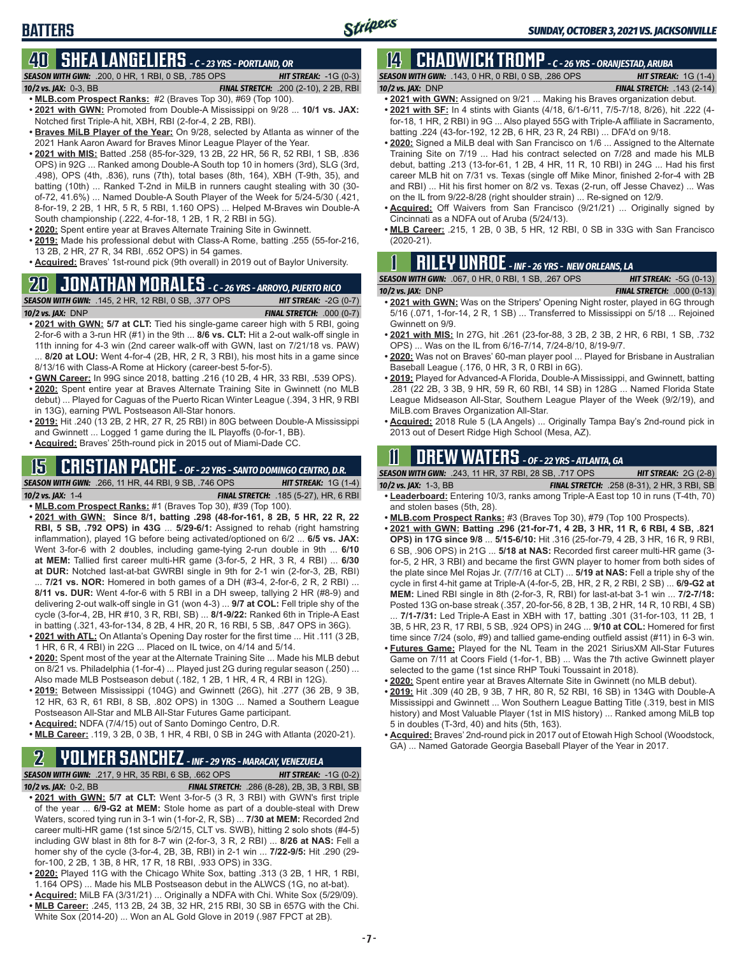## **BATTERS**

## **40 SHEA LANGELIERS** *- C - 23 YRS - PORTLAND, OR*

*SEASON WITH GWN:*.200, 0 HR, 1 RBI, 0 SB, .785 OPS *HIT STREAK:* -1G (0-3) *10/2 vs. JAX:*0-3, BB *FINAL STRETCH:* .200 (2-10), 2 2B, RBI

- **• MLB.com Prospect Ranks:** #2 (Braves Top 30), #69 (Top 100). **• 2021 with GWN:** Promoted from Double-A Mississippi on 9/28 ... **10/1 vs. JAX:**
- Notched first Triple-A hit, XBH, RBI (2-for-4, 2 2B, RBI).
- **• Braves MiLB Player of the Year:** On 9/28, selected by Atlanta as winner of the 2021 Hank Aaron Award for Braves Minor League Player of the Year.
- **• 2021 with MIS:** Batted .258 (85-for-329, 13 2B, 22 HR, 56 R, 52 RBI, 1 SB, .836 OPS) in 92G ... Ranked among Double-A South top 10 in homers (3rd), SLG (3rd, .498), OPS (4th, .836), runs (7th), total bases (8th, 164), XBH (T-9th, 35), and batting (10th) ... Ranked T-2nd in MiLB in runners caught stealing with 30 (30 of-72, 41.6%) ... Named Double-A South Player of the Week for 5/24-5/30 (.421, 8-for-19, 2 2B, 1 HR, 5 R, 5 RBI, 1.160 OPS) ... Helped M-Braves win Double-A South championship (.222, 4-for-18, 1 2B, 1 R, 2 RBI in 5G).
- **• 2020:** Spent entire year at Braves Alternate Training Site in Gwinnett.
- **• 2019:** Made his professional debut with Class-A Rome, batting .255 (55-for-216, 13 2B, 2 HR, 27 R, 34 RBI, .652 OPS) in 54 games.
- **• Acquired:** Braves' 1st-round pick (9th overall) in 2019 out of Baylor University.

## **20 JONATHAN MORALES** *- C - 26 YRS - ARROYO, PUERTO RICO*

*SEASON WITH GWN:*.145, 2 HR, 12 RBI, 0 SB, .377 OPS *HIT STREAK:* -2G (0-7)

- *10/2 vs. JAX:*DNP *FINAL STRETCH:* .000 (0-7) **• 2021 with GWN: 5/7 at CLT:** Tied his single-game career high with 5 RBI, going 2-for-6 with a 3-run HR (#1) in the 9th ... **8/6 vs. CLT:** Hit a 2-out walk-off single in
- 11th inning for 4-3 win (2nd career walk-off with GWN, last on 7/21/18 vs. PAW) ... **8/20 at LOU:** Went 4-for-4 (2B, HR, 2 R, 3 RBI), his most hits in a game since 8/13/16 with Class-A Rome at Hickory (career-best 5-for-5).
- **• GWN Career:** In 99G since 2018, batting .216 (10 2B, 4 HR, 33 RBI, .539 OPS).
- **• 2020:** Spent entire year at Braves Alternate Training Site in Gwinnett (no MLB debut) ... Played for Caguas of the Puerto Rican Winter League (.394, 3 HR, 9 RBI in 13G), earning PWL Postseason All-Star honors.
- **• 2019:** Hit .240 (13 2B, 2 HR, 27 R, 25 RBI) in 80G between Double-A Mississippi and Gwinnett ... Logged 1 game during the IL Playoffs (0-for-1, BB).
- **• Acquired:** Braves' 25th-round pick in 2015 out of Miami-Dade CC.

## **15 CRISTIAN PACHE** *- OF - 22 YRS - SANTO DOMINGO CENTRO, D.R.*

*SEASON WITH GWN:*.266, 11 HR, 44 RBI, 9 SB, .746 OPS *HIT STREAK:* 1G (1-4) *10/2 vs. JAX:* 1-4 *FINAL STRETCH:* .185 (5-27), HR, 6 RBI

- **• MLB.com Prospect Ranks:** #1 (Braves Top 30), #39 (Top 100). **• 2021 with GWN: Since 8/1, batting .298 (48-for-161, 8 2B, 5 HR, 22 R, 22 RBI, 5 SB, .792 OPS) in 43G** ... **5/29-6/1:** Assigned to rehab (right hamstring inflammation), played 1G before being activated/optioned on 6/2 ... **6/5 vs. JAX:** Went 3-for-6 with 2 doubles, including game-tying 2-run double in 9th ... **6/10 at MEM:** Tallied first career multi-HR game (3-for-5, 2 HR, 3 R, 4 RBI) ... **6/30 at DUR:** Notched last-at-bat GWRBI single in 9th for 2-1 win (2-for-3, 2B, RBI) ... **7/21 vs. NOR:** Homered in both games of a DH (#3-4, 2-for-6, 2 R, 2 RBI) ...
- **8/11 vs. DUR:** Went 4-for-6 with 5 RBI in a DH sweep, tallying 2 HR (#8-9) and delivering 2-out walk-off single in G1 (won 4-3) ... **9/7 at COL:** Fell triple shy of the cycle (3-for-4, 2B, HR #10, 3 R, RBI, SB) ... **8/1-9/22:** Ranked 6th in Triple-A East in batting (.321, 43-for-134, 8 2B, 4 HR, 20 R, 16 RBI, 5 SB, .847 OPS in 36G).
- **• 2021 with ATL:** On Atlanta's Opening Day roster for the first time ... Hit .111 (3 2B, 1 HR, 6 R, 4 RBI) in 22G ... Placed on IL twice, on 4/14 and 5/14.
- **• 2020:** Spent most of the year at the Alternate Training Site ... Made his MLB debut on 8/21 vs. Philadelphia (1-for-4) ... Played just 2G during regular season (.250) ... Also made MLB Postseason debut (.182, 1 2B, 1 HR, 4 R, 4 RBI in 12G).
- **• 2019:** Between Mississippi (104G) and Gwinnett (26G), hit .277 (36 2B, 9 3B, 12 HR, 63 R, 61 RBI, 8 SB, .802 OPS) in 130G ... Named a Southern League Postseason All-Star and MLB All-Star Futures Game participant.
- **• Acquired:** NDFA (7/4/15) out of Santo Domingo Centro, D.R.
- **• MLB Career:** .119, 3 2B, 0 3B, 1 HR, 4 RBI, 0 SB in 24G with Atlanta (2020-21).

## **2 YOLMER SANCHEZ** *- INF - 29 YRS - MARACAY, VENEZUELA*

*SEASON WITH GWN:*.217, 9 HR, 35 RBI, 6 SB, .662 OPS *HIT STREAK:* -1G (0-2) *10/2 vs. JAX:*0-2, BB *FINAL STRETCH:* .286 (8-28), 2B, 3B, 3 RBI, SB **• 2021 with GWN: 5/7 at CLT:** Went 3-for-5 (3 R, 3 RBI) with GWN's first triple of the year ... **6/9-G2 at MEM:** Stole home as part of a double-steal with Drew Waters, scored tying run in 3-1 win (1-for-2, R, SB) ... **7/30 at MEM:** Recorded 2nd career multi-HR game (1st since 5/2/15, CLT vs. SWB), hitting 2 solo shots (#4-5) including GW blast in 8th for 8-7 win (2-for-3, 3 R, 2 RBI) ... **8/26 at NAS:** Fell a homer shy of the cycle (3-for-4, 2B, 3B, RBI) in 2-1 win ... **7/22-9/5:** Hit .290 (29 for-100, 2 2B, 1 3B, 8 HR, 17 R, 18 RBI, .933 OPS) in 33G.

- **• 2020:** Played 11G with the Chicago White Sox, batting .313 (3 2B, 1 HR, 1 RBI, 1.164 OPS) ... Made his MLB Postseason debut in the ALWCS (1G, no at-bat).
- **• Acquired:** MiLB FA (3/31/21) ... Originally a NDFA with Chi. White Sox (5/29/09). **• MLB Career:** .245, 113 2B, 24 3B, 32 HR, 215 RBI, 30 SB in 657G with the Chi. White Sox (2014-20) ... Won an AL Gold Glove in 2019 (.987 FPCT at 2B).

#### **14 CHADWICK TROMP** *- C - 26 YRS - ORANJESTAD, ARUBA SEASON WITH GWN:*.143, 0 HR, 0 RBI, 0 SB, .286 OPS *HIT STREAK:* 1G (1-4)

- *10/2 vs. JAX:*DNP *FINAL STRETCH:* .143 (2-14)
- **• 2021 with GWN:** Assigned on 9/21 ... Making his Braves organization debut.
- **• 2021 with SF:** In 4 stints with Giants (4/18, 6/1-6/11, 7/5-7/18, 8/26), hit .222 (4 for-18, 1 HR, 2 RBI) in 9G ... Also played 55G with Triple-A affiliate in Sacramento, batting .224 (43-for-192, 12 2B, 6 HR, 23 R, 24 RBI) ... DFA'd on 9/18.
- **• 2020:** Signed a MiLB deal with San Francisco on 1/6 ... Assigned to the Alternate Training Site on 7/19 ... Had his contract selected on 7/28 and made his MLB debut, batting .213 (13-for-61, 1 2B, 4 HR, 11 R, 10 RBI) in 24G ... Had his first career MLB hit on 7/31 vs. Texas (single off Mike Minor, finished 2-for-4 with 2B and RBI) ... Hit his first homer on 8/2 vs. Texas (2-run, off Jesse Chavez) ... Was on the IL from 9/22-8/28 (right shoulder strain) ... Re-signed on 12/9.
- **• Acquired:** Off Waivers from San Francisco (9/21/21) ... Originally signed by Cincinnati as a NDFA out of Aruba (5/24/13).
- **• MLB Career:** .215, 1 2B, 0 3B, 5 HR, 12 RBI, 0 SB in 33G with San Francisco (2020-21).

## **1 RILEY UNROE** *- INF - 26 YRS - NEW ORLEANS, LA*

| <b>SEASON WITH GWN: .067, 0 HR, 0 RBI, 1 SB, .267 OPS</b> | <b>HIT STREAK: <math>-5G(0-13)</math></b> |
|-----------------------------------------------------------|-------------------------------------------|
| 10/2 vs. JAX: $DNP$                                       | <b>FINAL STRETCH: .000 (0-13)</b>         |
| .                                                         |                                           |

- **• 2021 with GWN:** Was on the Stripers' Opening Night roster, played in 6G through 5/16 (.071, 1-for-14, 2 R, 1 SB) ... Transferred to Mississippi on 5/18 ... Rejoined Gwinnett on 9/9.
- **• 2021 with MIS:** In 27G, hit .261 (23-for-88, 3 2B, 2 3B, 2 HR, 6 RBI, 1 SB, .732 OPS) ... Was on the IL from 6/16-7/14, 7/24-8/10, 8/19-9/7.
- **• 2020:** Was not on Braves' 60-man player pool ... Played for Brisbane in Australian Baseball League (.176, 0 HR, 3 R, 0 RBI in 6G).
- **• 2019:** Played for Advanced-A Florida, Double-A Mississippi, and Gwinnett, batting .281 (22 2B, 3 3B, 9 HR, 59 R, 60 RBI, 14 SB) in 128G ... Named Florida State League Midseason All-Star, Southern League Player of the Week (9/2/19), and MiLB.com Braves Organization All-Star.
- **• Acquired:** 2018 Rule 5 (LA Angels) ... Originally Tampa Bay's 2nd-round pick in 2013 out of Desert Ridge High School (Mesa, AZ).

## **11 Drew WATERS** *- OF - 22 YRS - ATLANTA, GA*

*SEASON WITH GWN:*.243, 11 HR, 37 RBI, 28 SB, .717 OPS *HIT STREAK:* 2G (2-8)

*10/2 vs. JAX:*1-3, BB *FINAL STRETCH:* .258 (8-31), 2 HR, 3 RBI, SB **• Leaderboard:** Entering 10/3, ranks among Triple-A East top 10 in runs (T-4th, 70) and stolen bases (5th, 28).

- **• MLB.com Prospect Ranks:** #3 (Braves Top 30), #79 (Top 100 Prospects).
- **• 2021 with GWN: Batting .296 (21-for-71, 4 2B, 3 HR, 11 R, 6 RBI, 4 SB, .821**
- **OPS) in 17G since 9/8** ... **5/15-6/10:** Hit .316 (25-for-79, 4 2B, 3 HR, 16 R, 9 RBI, 6 SB, .906 OPS) in 21G ... **5/18 at NAS:** Recorded first career multi-HR game (3 for-5, 2 HR, 3 RBI) and became the first GWN player to homer from both sides of the plate since Mel Rojas Jr. (7/7/16 at CLT) ... **5/19 at NAS:** Fell a triple shy of the cycle in first 4-hit game at Triple-A (4-for-5, 2B, HR, 2 R, 2 RBI, 2 SB) ... **6/9-G2 at MEM:** Lined RBI single in 8th (2-for-3, R, RBI) for last-at-bat 3-1 win ... **7/2-7/18:** Posted 13G on-base streak (.357, 20-for-56, 8 2B, 1 3B, 2 HR, 14 R, 10 RBI, 4 SB)

... **7/1-7/31:** Led Triple-A East in XBH with 17, batting .301 (31-for-103, 11 2B, 1 3B, 5 HR, 23 R, 17 RBI, 5 SB, .924 OPS) in 24G ... **9/10 at COL:** Homered for first time since 7/24 (solo, #9) and tallied game-ending outfield assist (#11) in 6-3 win.

- **• Futures Game:** Played for the NL Team in the 2021 SiriusXM All-Star Futures Game on 7/11 at Coors Field (1-for-1, BB) ... Was the 7th active Gwinnett player selected to the game (1st since RHP Touki Toussaint in 2018).
- **• 2020:** Spent entire year at Braves Alternate Site in Gwinnett (no MLB debut).
- **• 2019:** Hit .309 (40 2B, 9 3B, 7 HR, 80 R, 52 RBI, 16 SB) in 134G with Double-A Mississippi and Gwinnett ... Won Southern League Batting Title (.319, best in MIS history) and Most Valuable Player (1st in MIS history) ... Ranked among MiLB top 5 in doubles (T-3rd, 40) and hits (5th, 163).
- **• Acquired:** Braves' 2nd-round pick in 2017 out of Etowah High School (Woodstock, GA) ... Named Gatorade Georgia Baseball Player of the Year in 2017.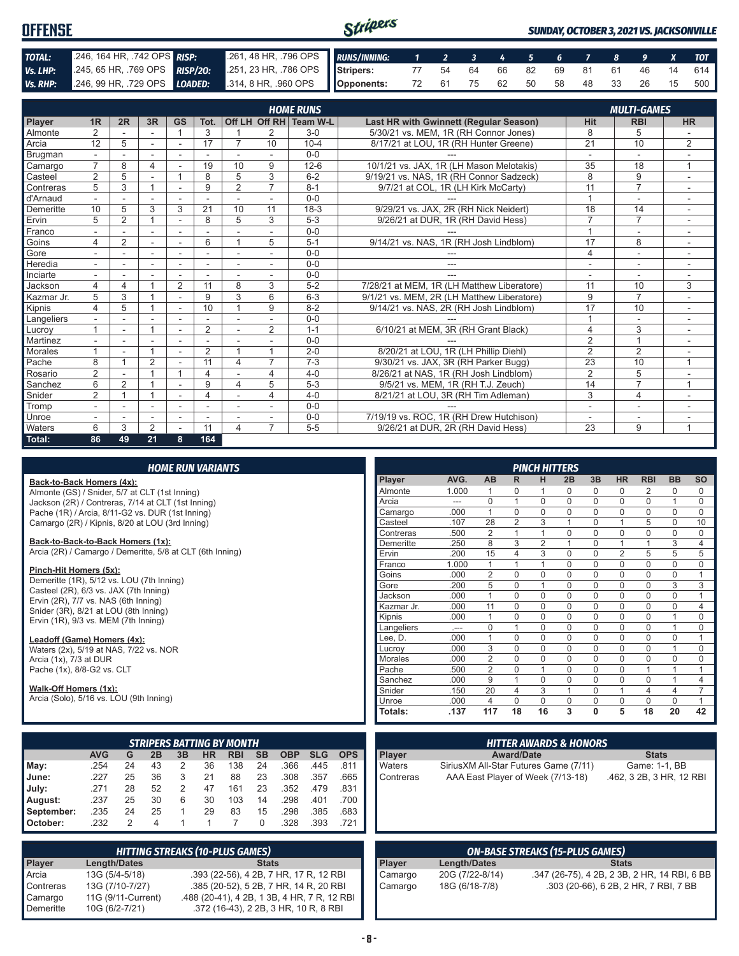| <b>OFFENSE</b> |                                                                                                      |                                                          | Stripers |  |  |  |  |  | <b>SUNDAY, OCTOBER 3, 2021 VS. JACKSONVILLE</b> |
|----------------|------------------------------------------------------------------------------------------------------|----------------------------------------------------------|----------|--|--|--|--|--|-------------------------------------------------|
| TOTAL:         | .246, 164 HR, .742 OPS RISP:                                                                         | 261, 48 HR, 796 OPS RUNS/INNING: 1 2 3 4 5 6 7 8 9 X TOT |          |  |  |  |  |  |                                                 |
| Vs. LHP:       | 245, 65 HR, 769 OPS RISP/20: 251, 23 HR, 786 OPS Stripers: 77 54 64 66 82 69 81 61 46 14 614         |                                                          |          |  |  |  |  |  |                                                 |
|                | Vs. RHP: 246, 99 HR, 729 OPS LOADED: 314, 8 HR, 960 OPS Opponents: 72 61 75 62 50 58 48 33 26 15 500 |                                                          |          |  |  |  |  |  |                                                 |

|                |                         |                          |                |                |                          |                          |                | <b>HOME RUNS</b>       |                                               |                          | <b>MULTI-GAMES</b>       |                |
|----------------|-------------------------|--------------------------|----------------|----------------|--------------------------|--------------------------|----------------|------------------------|-----------------------------------------------|--------------------------|--------------------------|----------------|
| Player         | 1R                      | 2R                       | 3R             | <b>GS</b>      | Tot.                     |                          |                | Off LH Off RH Team W-L | <b>Last HR with Gwinnett (Regular Season)</b> | <b>Hit</b>               | <b>RBI</b>               | <b>HR</b>      |
| Almonte        | 2                       |                          |                |                | 3                        |                          | 2              | $3-0$                  | 5/30/21 vs. MEM, 1R (RH Connor Jones)         | 8                        | 5                        |                |
| Arcia          | 12                      | 5                        | ۰              | $\overline{a}$ | 17                       | $\overline{7}$           | 10             | $10 - 4$               | 8/17/21 at LOU, 1R (RH Hunter Greene)         | $\overline{21}$          | 10                       | $\overline{2}$ |
| <b>Brugman</b> |                         |                          |                | ٠              | $\overline{\phantom{a}}$ | $\overline{\phantom{a}}$ |                | $0 - 0$                |                                               | $\overline{\phantom{a}}$ | $\overline{\phantom{a}}$ |                |
| Camargo        | 7                       | 8                        | 4              |                | 19                       | 10                       | 9              | $12 - 6$               | 10/1/21 vs. JAX, 1R (LH Mason Melotakis)      | 35                       | 18                       | $\overline{A}$ |
| Casteel        | 2                       | 5                        |                |                | 8                        | 5                        | 3              | $6 - 2$                | 9/19/21 vs. NAS. 1R (RH Connor Sadzeck)       | 8                        | 9                        | ٠              |
| Contreras      | 5                       | 3                        |                |                | 9                        | $\overline{2}$           | $\overline{7}$ | $8 - 1$                | 9/7/21 at COL, 1R (LH Kirk McCarty)           | 11                       | $\overline{7}$           | ۰              |
| d'Arnaud       |                         |                          |                |                |                          |                          |                | $0 - 0$                |                                               |                          |                          | -              |
| Demeritte      | 10                      | 5                        | 3              | 3              | 21                       | 10                       | 11             | $18-3$                 | 9/29/21 vs. JAX, 2R (RH Nick Neidert)         | 18                       | 14                       | ۰              |
| Ervin          | 5                       | $\overline{2}$           |                |                | 8                        | 5                        | 3              | $5 - 3$                | 9/26/21 at DUR, 1R (RH David Hess)            | 7                        | $\overline{7}$           |                |
| Franco         |                         |                          | $\overline{a}$ | Ĭ.             |                          |                          |                | $0 - 0$                |                                               | 1                        | $\overline{\phantom{a}}$ | ۰              |
| Goins          | 4                       | 2                        | ٠              | $\blacksquare$ | 6                        | $\overline{1}$           | 5              | $5 - 1$                | 9/14/21 vs. NAS, 1R (RH Josh Lindblom)        | 17                       | 8                        | ۰              |
| Gore           |                         |                          | ٠              |                |                          |                          |                | $0 - 0$                |                                               | 4                        | $\overline{\phantom{a}}$ | ٠              |
| Heredia        |                         |                          |                | ۰              |                          |                          |                | $0 - 0$                | ---                                           |                          | $\overline{\phantom{a}}$ | ۰              |
| Inciarte       |                         |                          |                |                |                          |                          |                | $0 - 0$                | ---                                           | $\overline{\phantom{a}}$ | $\overline{\phantom{a}}$ | ۰              |
| Jackson        | $\overline{\mathbf{4}}$ | 4                        |                | $\overline{2}$ | 11                       | 8                        | 3              | $5 - 2$                | 7/28/21 at MEM. 1R (LH Matthew Liberatore)    | 11                       | 10                       | 3              |
| Kazmar Jr.     | 5                       | 3                        |                |                | 9                        | 3                        | 6              | $6 - 3$                | 9/1/21 vs. MEM, 2R (LH Matthew Liberatore)    | 9                        | $\overline{7}$           | ۰              |
| Kipnis         | 4                       | 5                        |                | ÷              | 10                       | $\overline{1}$           | 9              | $8 - 2$                | 9/14/21 vs. NAS, 2R (RH Josh Lindblom)        | 17                       | 10                       | ÷              |
| Langeliers     |                         |                          |                |                |                          |                          |                | $0 - 0$                |                                               |                          | $\overline{\phantom{a}}$ | ۰              |
| Lucrov         |                         | $\overline{\phantom{a}}$ |                | ۰              | $\overline{2}$           | $\blacksquare$           | 2              | $1 - 1$                | 6/10/21 at MEM, 3R (RH Grant Black)           | 4                        | 3                        | ٠              |
| Martinez       |                         |                          |                |                |                          |                          |                | $0 - 0$                |                                               | 2                        | $\overline{1}$           | ۰              |
| Morales        |                         |                          | $\overline{A}$ | ۰              | 2                        | 1                        | $\overline{1}$ | $2 - 0$                | 8/20/21 at LOU, 1R (LH Phillip Diehl)         | $\overline{2}$           | $\overline{2}$           |                |
| Pache          | 8                       |                          | $\overline{2}$ |                | 11                       | 4                        | $\overline{7}$ | $7 - 3$                | 9/30/21 vs. JAX, 3R (RH Parker Bugg)          | $\overline{23}$          | 10                       |                |
| Rosario        | $\overline{2}$          |                          |                | $\overline{ }$ | 4                        |                          | 4              | $4 - 0$                | 8/26/21 at NAS, 1R (RH Josh Lindblom)         | 2                        | 5                        |                |
| Sanchez        | 6                       | $\overline{2}$           |                |                | 9                        | 4                        | 5              | $5-3$                  | 9/5/21 vs. MEM, 1R (RH T.J. Zeuch)            | 14                       | $\overline{7}$           | $\overline{A}$ |
| Snider         | $\overline{2}$          |                          |                | $\overline{a}$ | 4                        |                          | 4              | $4 - 0$                | 8/21/21 at LOU, 3R (RH Tim Adleman)           | 3                        | 4                        | ٠              |
| Tromp          |                         |                          | ۰              | ۰              | ٠                        |                          |                | $0 - 0$                |                                               | $\overline{\phantom{a}}$ | $\overline{\phantom{a}}$ | ۰              |
| Unroe          |                         |                          |                |                |                          |                          |                | $0 - 0$                | 7/19/19 vs. ROC, 1R (RH Drew Hutchison)       |                          |                          |                |
| Waters         | 6                       | 3                        | $\overline{2}$ |                | 11                       | 4                        | $\overline{7}$ | $5 - 5$                | 9/26/21 at DUR. 2R (RH David Hess)            | $\overline{23}$          | 9                        |                |
| Total:         | 86                      | 49                       | 21             | 8              | 164                      |                          |                |                        |                                               |                          |                          |                |

#### *HOME RUN VARIANTS*

#### **Back-to-Back Homers (4x):**

Almonte (GS) / Snider, 5/7 at CLT (1st Inning) Jackson (2R) / Contreras, 7/14 at CLT (1st Inning) Pache (1R) / Arcia, 8/11-G2 vs. DUR (1st Inning) Camargo (2R) / Kipnis, 8/20 at LOU (3rd Inning)

#### **Back-to-Back-to-Back Homers (1x):**

Arcia (2R) / Camargo / Demeritte, 5/8 at CLT (6th Inning)

#### **Pinch-Hit Homers (5x):**

Demeritte (1R), 5/12 vs. LOU (7th Inning) Casteel (2R), 6/3 vs. JAX (7th Inning) Ervin (2R), 7/7 vs. NAS (6th Inning) Snider (3R), 8/21 at LOU (8th Inning) Ervin (1R), 9/3 vs. MEM (7th Inning)

#### **Leadoff (Game) Homers (4x):**

Waters (2x), 5/19 at NAS, 7/22 vs. NOR Arcia (1x), 7/3 at DUR Pache (1x), 8/8-G2 vs. CLT

#### **Walk-Off Homers (1x):**

Arcia (Solo), 5/16 vs. LOU (9th Inning)

|                 |            |    |    |    |           | <b>STRIPERS BATTING BY MONTH</b> |           |            |            |            |
|-----------------|------------|----|----|----|-----------|----------------------------------|-----------|------------|------------|------------|
|                 | <b>AVG</b> | G  | 2B | 3B | <b>HR</b> | RBI                              | <b>SB</b> | <b>OBP</b> | <b>SLG</b> | <b>OPS</b> |
| May:            | .254       | 24 | 43 | 2  | 36        | 138                              | 24        | .366       | .445       | .811       |
| June:           | .227       | 25 | 36 | 3  | 21        | 88                               | 23        | .308       | .357       | .665       |
| July:           | .271       | 28 | 52 | 2  | 47        | 161                              | 23        | .352       | .479       | .831       |
| August:         | .237       | 25 | 30 | 6  | 30        | 103                              | 14        | .298       | .401       | .700       |
| September:      | .235       | 24 | 25 |    | 29        | 83                               | 15        | .298       | .385       | .683       |
| <b>October:</b> | .232       | 2  | 4  |    |           |                                  | 0         | .328       | .393       | .721       |

|           |                     | <b>HITTING STREAKS (10-PLUS GAMES)</b>      |
|-----------|---------------------|---------------------------------------------|
| Player    | <b>Length/Dates</b> | <b>Stats</b>                                |
| Arcia     | 13G (5/4-5/18)      | .393 (22-56), 4 2B, 7 HR, 17 R, 12 RBI      |
| Contreras | 13G (7/10-7/27)     | .385 (20-52), 5 2B, 7 HR, 14 R, 20 RBI      |
| Camargo   | 11G (9/11-Current)  | .488 (20-41), 4 2B, 1 3B, 4 HR, 7 R, 12 RBI |
| Demeritte | 10G (6/2-7/21)      | .372 (16-43), 2 2B, 3 HR, 10 R, 8 RBI       |

|                |       |                |                | <b>PINCH HITTERS</b> |             |             |                |                |                |           |
|----------------|-------|----------------|----------------|----------------------|-------------|-------------|----------------|----------------|----------------|-----------|
| <b>Player</b>  | AVG.  | AB             | R              | н                    | 2B          | 3B          | <b>HR</b>      | <b>RBI</b>     | <b>BB</b>      | <b>SO</b> |
| Almonte        | 1.000 | 1              | $\Omega$       | 1                    | $\Omega$    | 0           | $\mathbf 0$    | $\overline{2}$ | $\Omega$       | 0         |
| Arcia          | ---   | $\mathbf 0$    | 1              | $\mathbf 0$          | $\mathbf 0$ | 0           | $\mathbf 0$    | $\mathbf 0$    | 1              | 0         |
| Camargo        | .000  | 1              | $\Omega$       | $\mathbf 0$          | $\Omega$    | 0           | $\mathbf 0$    | $\mathbf 0$    | $\mathbf 0$    | $\Omega$  |
| Casteel        | .107  | 28             | $\overline{2}$ | 3                    | 1           | 0           | 1              | 5              | $\Omega$       | 10        |
| Contreras      | .500  | $\overline{2}$ | 1              | 1                    | $\Omega$    | 0           | $\mathbf 0$    | $\mathbf 0$    | $\Omega$       | 0         |
| Demeritte      | .250  | 8              | 3              | $\overline{2}$       | 1           | 0           | 1              | 1              | 3              | 4         |
| Ervin          | .200  | 15             | 4              | 3                    | $\Omega$    | $\mathbf 0$ | $\overline{2}$ | 5              | 5              | 5         |
| Franco         | 1.000 | 1              | 1              | 1                    | $\Omega$    | 0           | $\mathbf 0$    | $\mathbf 0$    | 0              | 0         |
| Goins          | .000  | $\overline{2}$ | $\Omega$       | $\mathbf 0$          | $\Omega$    | 0           | $\Omega$       | $\mathbf 0$    | $\Omega$       | 1         |
| Gore           | .200  | 5              | $\Omega$       | 1                    | $\Omega$    | 0           | $\mathbf 0$    | $\mathbf 0$    | 3              | 3         |
| Jackson        | .000  | 1              | $\Omega$       | $\Omega$             | $\Omega$    | 0           | $\mathbf 0$    | $\mathbf 0$    | $\Omega$       | 1         |
| Kazmar Jr.     | .000  | 11             | $\Omega$       | $\Omega$             | $\Omega$    | 0           | $\mathbf 0$    | $\mathbf 0$    | 0              | 4         |
| Kipnis         | .000  | 1              | $\Omega$       | $\Omega$             | $\Omega$    | $\Omega$    | $\Omega$       | $\Omega$       | 1              | $\Omega$  |
| Langeliers     | $-$   | $\Omega$       | 1              | $\Omega$             | $\Omega$    | $\Omega$    | $\mathbf 0$    | $\mathbf 0$    | 1              | 0         |
| Lee, D.        | .000  | 1              | $\Omega$       | $\Omega$             | $\Omega$    | $\Omega$    | $\Omega$       | $\Omega$       | $\Omega$       | 1         |
| Lucroy         | .000  | 3              | $\Omega$       | $\Omega$             | $\Omega$    | $\Omega$    | $\Omega$       | $\mathbf 0$    | 1              | $\Omega$  |
| <b>Morales</b> | .000  | $\overline{2}$ | $\Omega$       | $\Omega$             | $\Omega$    | $\Omega$    | $\Omega$       | $\mathbf 0$    | $\Omega$       | 0         |
| Pache          | .500  | $\overline{2}$ | $\Omega$       | 1                    | $\Omega$    | 0           | $\mathbf 0$    | 1              | 1              | 1         |
| Sanchez        | .000  | 9              | 1              | $\Omega$             | $\Omega$    | 0           | $\mathbf 0$    | $\Omega$       | 1              | 4         |
| Snider         | .150  | 20             | $\overline{4}$ | 3                    | 1           | 0           | 1              | 4              | $\overline{4}$ | 7         |
| Unroe          | .000  | $\overline{4}$ | $\Omega$       | $\Omega$             | $\Omega$    | 0           | $\Omega$       | $\Omega$       | $\Omega$       | 1         |
| Totals:        | .137  | 117            | 18             | 16                   | 3           | 0           | 5              | 18             | 20             | 42        |

| <b>Player</b> | <b>Award/Date</b>                      | <b>Stats</b>             |
|---------------|----------------------------------------|--------------------------|
| <b>Waters</b> | Sirius XM All-Star Futures Game (7/11) | Game: 1-1, BB            |
| Contreras     | AAA East Player of Week (7/13-18)      | .462, 3 2B, 3 HR, 12 RBI |

| <b>ON-BASE STREAKS (15-PLUS GAMES)</b> |                 |                                              |
|----------------------------------------|-----------------|----------------------------------------------|
| <b>Player</b>                          | Length/Dates    | <b>Stats</b>                                 |
| Camargo                                | 20G (7/22-8/14) | .347 (26-75), 4 2B, 2 3B, 2 HR, 14 RBI, 6 BB |
| Camargo                                | 18G (6/18-7/8)  | .303 (20-66), 6 2B, 2 HR, 7 RBI, 7 BB        |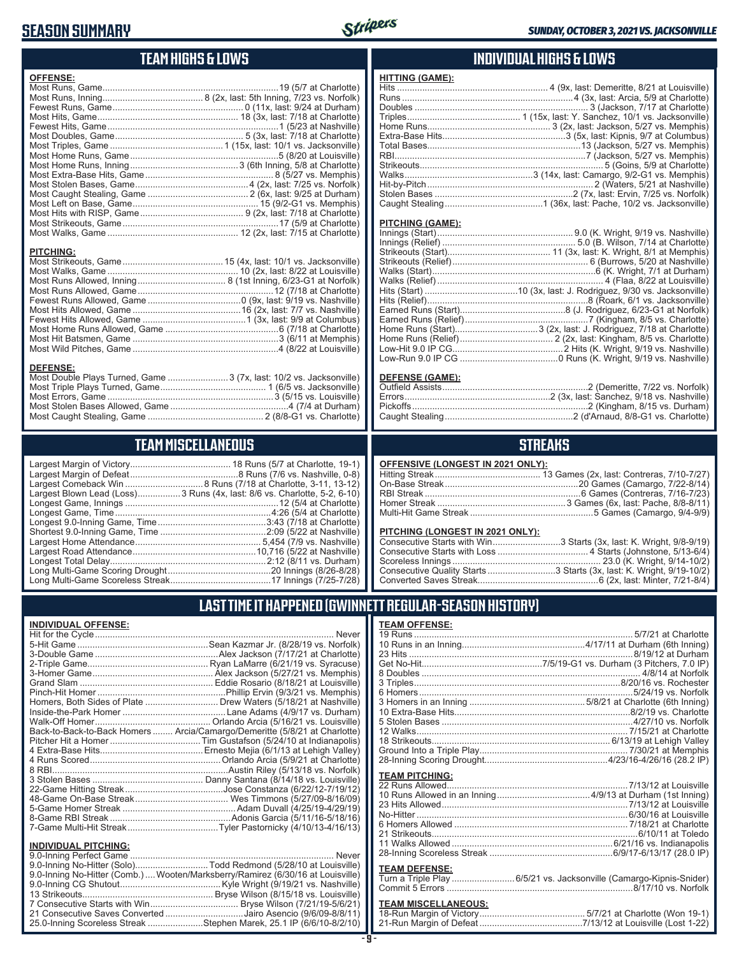## **SEASON SUMMARY**



## **TEAM HIGHS & LOWS**

| <b>PITCHING:</b> | <b>OFFENSE:</b> |  |
|------------------|-----------------|--|
|                  |                 |  |

#### **DEFENSE:**

| Most Double Plays Turned, Game 3 (7x, last: 10/2 vs. Jacksonville) |  |
|--------------------------------------------------------------------|--|
|                                                                    |  |
|                                                                    |  |
|                                                                    |  |
|                                                                    |  |
|                                                                    |  |

## **TEAM MISCELLANEOUS**

| Largest Blown Lead (Loss)3 Runs (4x, last: 8/6 vs. Charlotte, 5-2, 6-10) |
|--------------------------------------------------------------------------|
|                                                                          |
| Longest Game, Time……………………………………………………4:26 (5/4 at Charlotte)            |
| Longest 9.0-Inning Game, Time……………………………………3:43 (7/18 at Charlotte)      |
|                                                                          |
|                                                                          |
|                                                                          |
|                                                                          |
|                                                                          |
|                                                                          |
|                                                                          |

## **INDIVIDUAL HIGHS & LOWS**

| <b>HITTING (GAME):</b> |  |
|------------------------|--|
|                        |  |
|                        |  |
|                        |  |
|                        |  |
|                        |  |
|                        |  |
|                        |  |
|                        |  |
|                        |  |
|                        |  |
|                        |  |
|                        |  |
|                        |  |
|                        |  |

#### **PITCHING (GAME):**

#### **DEFENSE (GAME):**

### **STREAKS**

#### **OFFENSIVE (LONGEST IN 2021 ONLY):**

#### **PITCHING (LONGEST IN 2021 ONLY):**

| Consecutive Starts with Win3 Starts (3x, last: K. Wright, 9/8-9/19) |  |
|---------------------------------------------------------------------|--|
|                                                                     |  |
|                                                                     |  |
|                                                                     |  |
|                                                                     |  |
|                                                                     |  |

### **LAST TIME IT HAPPENED (GWINNETT REGULAR-SEASON HISTORY)**

#### **INDIVIDUAL OFFENSE:**

|                                                               | Homers, Both Sides of Plate ………………………… Drew Waters (5/18/21 at Nashville)  |
|---------------------------------------------------------------|----------------------------------------------------------------------------|
|                                                               |                                                                            |
|                                                               |                                                                            |
|                                                               | Back-to-Back-to-Back Homers  Arcia/Camargo/Demeritte (5/8/21 at Charlotte) |
|                                                               |                                                                            |
|                                                               |                                                                            |
|                                                               |                                                                            |
|                                                               |                                                                            |
|                                                               |                                                                            |
|                                                               |                                                                            |
|                                                               |                                                                            |
|                                                               |                                                                            |
|                                                               |                                                                            |
|                                                               |                                                                            |
|                                                               |                                                                            |
| <b>INDIVIDUAL PITCHING:</b><br><b>Q O-Inning Perfect Game</b> | Never                                                                      |
|                                                               |                                                                            |

| 9.0-Inning No-Hitter (Solo)Todd Redmond (5/28/10 at Louisville)                |
|--------------------------------------------------------------------------------|
| 9.0-Inning No-Hitter (Comb.) Wooten/Marksberry/Ramirez (6/30/16 at Louisville) |
|                                                                                |
|                                                                                |
|                                                                                |
| 21 Consecutive Saves Converted Jairo Asencio (9/6/09-8/8/11)                   |
| 25.0-Inning Scoreless Streak Stephen Marek, 25.1 IP (6/6/10-8/2/10)            |

### **TEAM OFFENSE:**

|                       | 12 Walks………………………………………………………………………7/15/21 at Charlotte             |
|-----------------------|---------------------------------------------------------------------|
|                       |                                                                     |
|                       |                                                                     |
|                       |                                                                     |
| <b>TEAM PITCHING:</b> |                                                                     |
|                       |                                                                     |
|                       |                                                                     |
|                       |                                                                     |
|                       |                                                                     |
|                       |                                                                     |
|                       |                                                                     |
|                       |                                                                     |
|                       |                                                                     |
|                       |                                                                     |
| <b>TEAM DEFENSE:</b>  |                                                                     |
|                       | Turn a Triple Play  6/5/21 vs. Jacksonville (Camargo-Kipnis-Snider) |
|                       |                                                                     |

| <b>TEAM MISCELLANEOUS:</b> |  |
|----------------------------|--|
|                            |  |
|                            |  |